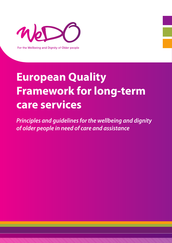

For the Wellbeing and Dignity of Older people

# **European Quality Framework for long-term care services**

*Principles and guidelines for the wellbeing and dignity of older people in need of care and assistance*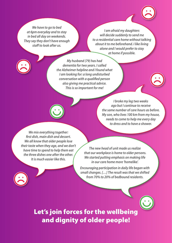*We have to go to bed at 6pm everyday and to stay in bed all day on weekends. They say they don't have enough staff to look after us.*

*I am afraid my daughters will decide suddenly to send me to a residential care home without talking about it to me beforehand. I like living alone and I would prefer to stay at home if possible.*

*My husband (79) has had dementia for two years. I called the Alzheimer helpline and I found what I am looking for: a long undisturbed conversation with a qualified person also giving me practical advice. This is so important for me!*



*I broke my leg two weeks ago but I continue to receive the same number of care hours as before. My son, who lives 100 km from my house, needs to come to help me every day to dress and to have a shower.*

*We mix everything together: first dish, main dish and dessert. We all know that older people lose their taste when they age, and we don't have time to spend to help them eat the three dishes one after the other. It is much easier like this.*

*The new head of unit made us realize that our workplace is home to older persons. We started putting emphasis on making life in our care home more 'homelike'.*

*Encouraging participation in daily life began with small changes. […] The result was that we shifted from 70% to 20% of bedbound residents.*

Let's join forces for the wellbeing and dignity of older people!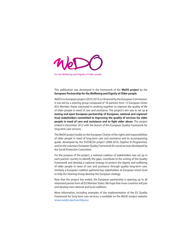

For the Wellbeing and Dignity of Older people

This publication was developed in the framework of the **WeDO project** by the **European Partnership for the Wellbeing and Dignity of Older people**.

WeDO is a European project (2010-2012) co-financed by the European Commission. It was led by a steering group composed of 18 partners from 12 European Union (EU) Member States interested in working together to improve the quality of life of older people in need of care and assistance. The project's aim was to set up **a lasting and open European partnership of European, national and regional/ local stakeholders committed to improving the quality of services for older people in need of care and assistance and to fight elder abuse.** The project ended in December 2012 with the launch of this European Quality Framework for long-term care services.

The WeDO project builds on the European Charter of the rights and responsibilities of older people in need of long-term care and assistance and its accompanying guide, developed by the EUSTACEA project (2008-2010, Daphne III Programme), and on the voluntary European Quality Framework for social services developed by the Social Protection Committee.

For the purpose of the project, a national coalition of stakeholders was set up in each partner country to identify the gaps, contribute to the writing of the Quality Framework and develop a national strategy to protect the dignity and wellbeing of older people in need of care and assistance through quality long-term care. Similarly a European coalition gathered key stakeholders at European Union level to help the Steering Group develop the European strategy.

Now that the project has ended, the European partnership is opening up to all interested parties from all EU Member States. We hope that more countries will join and develop new national and local coalitions.

More information, including examples of the implementation of the EU Quality Framework for long-term care services, is available on the WeDO project website: www.wedo-partnership.eu.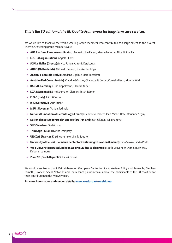### *This is the EU edition of the EU Quality Framework for long-term care services.*

We would like to thank all the WeDO Steering Group members who contributed to a large extent to the project. The WeDO Steering group members were:

- • **AGE Platform Europe (coordinator):** Anne-Sophie Parent, Maude Luherne, Alice Sinigaglia
- • **EDE (EU organisation):** Angela Cluzel
- • **50Plus Hellas (Greece):** Myrto Ranga, Antonis Karakousis
- • **ANBO (Netherlands):** Mildred Theunisz, Nienke Thurlings
- • **Anziani e non solo (Italy):** Loredana Ligabue, Licia Boccaletti
- • **Austrian Red Cross (Austria):** Claudia Gröschel, Charlotte Strümpel, Cornelia Hackl, Monika Wild
- • **BAGSO (Germany):** Elke Tippelmann, Claudia Kaiser
- • **DZA (Germany):** Dörte Naumann, Clemens Tesch-Römer
- • **FIPAC (Italy):** Elio D'Orazio
- • **ISIS (Germany):** Karin Stiehr
- • **MZU (Slovenia):** Marjan Sedmak
- • **National Fundation of Gerontology (France):** Geneviève Imbert, Jean-Michel Hôte, Marianne Séguy
- • **National Institute for Health and Welfare (Finland):** Sari Jokinen, Teija Hammar
- • **SPF (Sweden):** Ola Nilsson
- • **Third Age (Ireland):** Anne Dempsey
- • **UNCCAS (France):** Kristine Stempien, Nelly Baudron
- • **University of Helsinki Palmenia Center for Continuing Education (Finland):** Tiina Savola, Sirkka Perttu
- • **Vrije Universiteit Brussel, Belgian Ageing Studies (Belgium):** Liesbeth De Donder, Dominique Verté, Deborah Lamotte
- • **Zivot 90 (Czech Republic):** Klara Cozlova

We would also like to thank Kai Leichsenring (European Centre for Social Welfare Policy and Research), Stephen Barnett (European Social Network) and Laura Jones (Eurodiaconia) and all the participants of the EU coalition for their contribution to the WeDO Project.

**For more information and contact details: www.wedo-partnership.eu**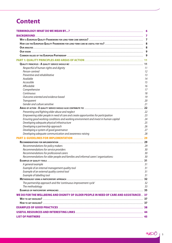## **Content**

|                                                                                                                              | 6        |
|------------------------------------------------------------------------------------------------------------------------------|----------|
|                                                                                                                              | 7        |
|                                                                                                                              | 7        |
|                                                                                                                              |          |
|                                                                                                                              |          |
|                                                                                                                              |          |
|                                                                                                                              |          |
|                                                                                                                              |          |
|                                                                                                                              | 11       |
| Respectful of human rights and dignity                                                                                       | 11       |
| Person-centred                                                                                                               | 12       |
| Preventive and rehabilitative                                                                                                | 13       |
| Available                                                                                                                    | 14       |
| Accessible                                                                                                                   | 15       |
| Affordable                                                                                                                   | 16       |
| Comprehensive                                                                                                                | 17       |
| Continuous                                                                                                                   | 18       |
| Outcome oriented and evidence based                                                                                          | 19       |
| Transparent                                                                                                                  | 20       |
| Gender and culture sensitive                                                                                                 | 21       |
|                                                                                                                              | 22       |
| Preventing and fighting elder abuse and neglect                                                                              | 22       |
| Empowering older people in need of care and create opportunities for participation                                           | 23       |
| Ensuring good working conditions and working environment and invest in human capital                                         | 24       |
| Developing adequate physical infrastructure                                                                                  | 25       |
| Developing a partnership approach                                                                                            | 26       |
| Developing a system of good governance<br>Developing adequate communication and awareness-raising                            | 27<br>28 |
|                                                                                                                              |          |
|                                                                                                                              | 29       |
|                                                                                                                              | 29       |
| Recommendations for policy makers                                                                                            | 29       |
| Recommendations for service providers                                                                                        | 30       |
| Recommendations for professional carers<br>Recommendations for older people and families and informal carers' organisations: | 30<br>30 |
|                                                                                                                              | 31       |
|                                                                                                                              | 31       |
| A general example<br>Example of an internal management quality tool                                                          | 31       |
| Example of an external quality control tool                                                                                  | 31       |
| Example of labelling tool                                                                                                    | 31       |
|                                                                                                                              | 32       |
| The partnership approach and the 'continuous improvement cycle'                                                              | 32       |
| The methodology                                                                                                              | 33       |
|                                                                                                                              |          |
| WE DO FOR THE WELLBEING AND DIGNITY OF OLDER PEOPLE IN NEED OF CARE AND ASSISTANCE! 37                                       |          |
|                                                                                                                              |          |
|                                                                                                                              |          |
|                                                                                                                              |          |
|                                                                                                                              |          |
|                                                                                                                              |          |
|                                                                                                                              |          |

noso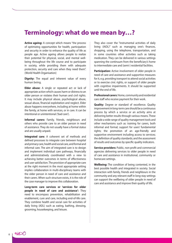## **Terminology: what do we mean by…?**

**Active ageing:** A concept which means "the process of optimizing opportunities for health, participation and security in order to enhance the quality of life as people age. Active ageing allows people to realize their potential for physical, social, and mental wellbeing throughout the life course and to participate in society, while providing them with adequate protection, security and care when they need them". (World Health Organisation)

**Dignity:** The equal and inherent value of every human being.

**Elder abuse:** A single or repeated act or lack of appropriate action which causes harm or distress to an older person or violates their human and civil rights. It may include physical abuse, psychological abuse, sexual abuse, financial exploitation and neglect. Elder abuse happens everywhere, including at home within the family, at home with services, or in care. It can be intentional or unintentional ('bad care').

**Informal carers:** Family, friends, neighbours and others who provide care to an older person in need of assistance. They do not usually have a formal status and are usually unpaid.

**Integrated care:** A coherent set of methods and defined processes to integrate care between hospital and primary care, health and social care, and formal and informal care. The aim of integrated care is to design and implement individual care pathways, financially and administratively coordinated with a view to achieving better outcomes in terms of effectiveness and user satisfaction. The provision of appropriate care at the right moment in the most appropriate setting implies collaboration in multi-disciplinary teams with the older person in need of care and assistance and their carers. When such structure exists, it is the role of the case manager to improve this collaboration.

**Long-term care services or 'services for older people in need of care and assistance':** They need to encompass prevention, rehabilitation and enablement, cure and care, including end-of-life care. They combine health and social care for activities of daily living (ADL) such as eating, bathing, dressing, grooming, housekeeping, and leisure.

They also cover the "instrumental activities of daily living (IADL)" such as managing one's finances, shopping, using the telephone, transportation, and in some countries other activities such as taking medication. They can be delivered in various settings spanning the continuum from the beneficiary's home to intermediate care and (semi-) residential facilities.

**Participation:** Active involvement of older people in need of care and assistance and supportive measures for it, e.g. providing transport to attend social activities or to exercise civic rights, or support of older people with cognitive impairments. It should be supported until the end of life.

**Professional carers**: Home, community and residential care staff who receive payment for their work.

**Quality:** Degree or standard of excellence. Quality improvement in long-term care should be a continuous process by which a service or an activity aims at delivering better results through various means. These include a wide range of quality management tools and other mechanisms such as: training for carers, both informal and formal; support for users' fundamental rights; the promotion of an age-friendly and supportive environment including access to services; the definition of quality standards; and the assessment of results and outcomes by specific quality indicators.

**Service providers:** Public, non-profit and commercial agencies delivering services to older people in need of care and assistance in institutional, community or homecare settings.

**Wellbeing:** The condition of being contented, in the best possible health and integrated in society. Social interaction with family, friends and neighbours in the community and any relevant staff in long-stay settings can support the wellbeing of older people in need of care and assistance and improve their quality of life.

no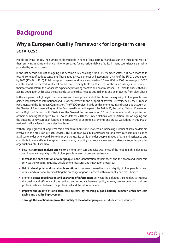## **Background**

## **Why a European Quality Framework for long-term care services?**

People are living longer. The number of older people in need of long-term care and assistance is increasing. Most of them are living at home and only a minority are cared for in a residential care facility. In many countries, care is mainly provided by informal carers.

In the last decade population ageing has become a key challenge for all EU Member States. It is even more so in today's context of budget constraint. Those aged 65 years or over will account for 29.5 % of the EU-27's population by 2060 (17.4 % in 2010). Public long-term care expenditure accounted for 1.2% of GDP in 2008 on average in OECD countries, and is expected to at least double and possibly triple by 2050. One of the key challenges for Europe is therefore to transform this longer life expectancy into longer active and healthy life years. It is also to ensure that our ageing population will receive the care and assistance they need to age in dignity and be protected from elder abuse.

In the last years the fight against elder abuse and the improvement of the life and care quality of older people have gained importance at international and European level with the support of several EU Presidencies, the European Parliament and the European Commission. The WeDO project builds on this momentum and takes due account of : the Charter of Fundamental Rights of the European Union and in particular Article 25; the United Nations Convention of the Rights of Persons with Disabilities; the General Recommendation 27 on older women and the protection of their human rights adopted by CEDAW in October 2010; the United Nations Madrid Action Plan on Ageing and the outcome of key European funded projects, as well as existing instruments and crucial work done in this area at national and local level in some Member States.

With this rapid growth of long-term care demands at home or elsewhere, an increasing number of stakeholders are involved in the provision of such services. This European Quality Framework on long-term care services is aimed at all stakeholder who would like to improve the quality of life of older people in need of care and assistance and contribute to more efficient long-term care systems, i.e. policy makers, care service providers, carers, older people's organisations, etc. It seeks to:

- • Ensure a **common analysis and vision** on long-term care and raise awareness of the need to fight elder abuse and improve the quality of life of older people in need of care and assistance;
- • **Increase the participation of older people** in the identification of their needs and the health and social care services they require, in quality development measures and innovation processes;
- • Help to **develop fair and sustainable solutions** to improve the wellbeing and dignity of older people in need of care and assistance by facilitating the exchange of good practices within a country and cross border;
- Promote **better coordination and exchange of information** between the different stakeholders to improve the quality and efficiency of the services, and especially between policy makers, service providers and care professionals, and between the professional and the informal carers;
- • **Improve the quality of long-term care systems by reaching a good balance between efficiency, cost saving and quality improvement**;
- • **Through these actions, improve the quality of life of older people** in need of care and assistance.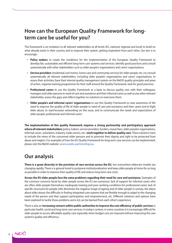## **How can the European Quality Framework for longterm care be useful for you?**

This framework is an invitation to all relevant stakeholders at all levels (EU, national, regional and local) to build on what already exists in their country and to improve their system, getting inspiration from each other. Our aim is to encourage:

- • **Policy makers** to create the conditions for the implementation of the European Quality Framework to develop fair, sustainable and efficient long-term care systems and services; identify good practices and consult systematically with other stakeholders such as older people's organisations and carers' organisations;
- • **Service providers** (residential care homes, home care and community services for older people, etc.) to consult systematically all relevant stakeholders, including older people's organisations and carers' organisations, to assess their activities; base their internal quality management system on the WeDO quality principles and areas of action, organise training programmes for their staff around the Quality Framework, look for good practices.
- • **Professional carers** to use the Quality Framework as a basis to discuss quality care with their colleagues, managers and older persons in need of care and assistance and their informal carers as well as any other relevant stakeholder, assess the gaps and reflect together on solutions to overcome them.
- • **Older people's and informal carers' organisations** to use this Quality Framework to raise awareness of the need to improve the quality of life of older people in need of care and assistance and their carers and to fight elder abuse, to start/increase networking on this issue, and to communicate the needs and expectations of older people, professional and informal carers

**The implementation of this quality framework requires a strong partnership and participatory approach where all relevant stakeholders** (policy makers, service providers, funders, researchers, older people's organisations, informal carers, volunteers, industry, trade unions, etc.) **work together to deliver quality care.** These solutions have to include the views of the concerned older persons and to promote their dignity and right to be protected from abuse and neglect. For examples of how the EU Quality Framework for long-term care services can be implemented, please visit the WeDO website: www.wedo-partnership.eu.

## **Our analysis**

**There is a great diversity in the provision of care services across the EU**, but everywhere eldercare models are changing rapidly. There is a general trend to postpone institutionalisation and keep older people at home for as long as possible in order to improve their quality of life and reduce long-term care costs.

**Across the EU older people face the same problems regarding their need for care and assistance.** Examples of the common concerns faced by older people across the EU are numerous: lack of support for informal carers who are often older people themselves; inadequate training and poor working conditions for professional carers; lack of specific structures for people with dementia; the negative image of ageing and of older people in society, the taboo about elder abuse; the difficulty in finding integrated care systems that are flexible enough to adapt to the changing needs of the person and that support participation and empowerment, etc. Different solutions and options have been explored to tackle these problems and a lot can be learned from each other's experience.

There is also an **increasing concern within public authorities to improve the cost efficiency of public services** in particular health, social and long-term care services. In today's context, in some countries it is increasingly difficult for older people to access affordable quality care especially when budget cuts are imposed without improving the care system's quality and efficiency.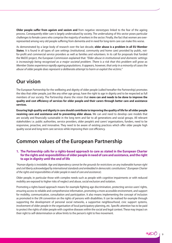**Older people suffer from ageism and sexism and** from negative stereotypes linked to the fear of the ageing process. Consequently elder care is largely undervalued by society. The undervaluing of this sector poses particular challenges to female carers who comprise the majority of workers in the sector. Finally, the fact that women are overrepresented among very old people suffering from dementia and in need for long-term care can make this worse.

As demonstrated by a large body of research over the last decade, **elder abuse is a problem in all EU Member States**. It is found in all types of care settings (institutional, community and home care) provided by public, notfor-profit and commercial service providers as well as families and volunteers. In its call for proposals that funded the WeDO project, the European Commission explained that: *"Elder abuse in institutional and domestic settings is increasingly being recognised as a major societal problem. There is a risk that this problem will grow as Member States experience rapidly ageing populations. It appears, however, that only in a minority of cases the abuse of older people does represent a deliberate attempt to harm or exploit the victims."*

## **Our vision**

The European Partnership for the wellbeing and dignity of older people (called hereafter the Partnership) promotes the idea that older people, just like any other age group, have the right to age in dignity and to be respected as full members of our society. The Partnership shares the vision that **more can and needs to be done to improve the quality and cost efficiency of services for older people and their carers through better care and assistance services.** 

**Ensuring high quality and dignity in care should contribute to improving the quality of life for all older people receiving care and assistance and to preventing elder abuse.** We can and need to develop care models that are socially and financially sustainable in the long term and fair to all generations and social groups. All relevant stakeholders i.e. public authorities, service providers, older people's and carers' organisations, funders, need to be responsive, proactive, and innovative. They need to be aware of existing practices which offer older people high quality social and long-term care services while improving their cost efficiency.

## **Common values of the European Partnership**

#### **1. The Partnership calls for a rights-based approach to care as stated in the European Charter for the rights and responsibilities of older people in need of care and assistance, and the right to age in dignity until the end of life**

*"Human dignity is inviolable. Age and dependency cannot be the grounds for restrictions on any inalienable human right and civil liberty acknowledged by international standards and embedded in democratic constitutions." (European Charter of the rights and responsibilities of older people in need of care and assistance).*

Older people, in particular those with complex needs such as people with cognitive impairments or with reduced mobility are exposed to higher risks of neglect and abuse, social exclusion and isolation.

Promoting a rights-based approach means for example fighting age discrimination, protecting service users' rights, ensuring access to reliable and comprehensive information, promoting a more accessible environment, and support for mobility, communication, consultation and participation. It also means implementing the concept of inclusion as promoted in the UN convention on the rights of persons with disabilities. It can be realised for example through supporting the development of personal social networks, a supportive neighbourhood, civic support systems, involvement of older people in the organisation of local participatory planning, etc. Specific attention has to be paid to protect the rights of older people with cognitive diseases within the social and legal context. These may impact on their right to self-determination or allow limits to the person's right to free movement.

MOX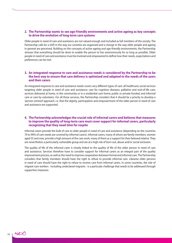#### **2. The Partnership wants to see age-friendly environments and active ageing as key concepts to drive the evolution of long-term care systems**

Older people in need of care and assistance are not valued enough and included as full members of the society. The Partnership calls for a shift in the way our societies are organised and a change in the way older people and ageing in general are perceived. Building on the concepts of active ageing and age-friendly environments, the Partnership stresses that everything should be done to enable the person to live autonomously for as long as possible. Older people in need of care and assistance must be involved and empowered to define how their needs, expectations and preferences can be met.

#### **3. An integrated response to care and assistance needs is considered by the Partnership to be the best way to ensure that care delivery is optimised and adapted to the needs of the users and their carers**

An integrated response to care and assistance needs covers very different types of care: all healthcare; social services targeting older people in need of care and assistance; care for cognitive diseases; palliative and end-of-life care; services delivered at home, in the community or in a residential care home; public or private-funded; and informal care or care by volunteers. For all these services, the Partnership considers that it should be a priority to develop a 'person-centred' approach, i.e. that the dignity, participation and empowerment of the older person in need of care and assistance are supported.

#### **4. The Partnership acknowledges the crucial role of informal carers and believes that measures to improve the quality of long-term care must cover support for informal carers, particularly recognizing that they need time for respite**

Informal carers provide the bulk of care to older people in need of care and assistance (depending on the countries 70 to 90% of care needs are covered by informal carers). Informal carers, many of whom are family members, women aged 55 and over, provide a high amount of the care work, many of them as a support for their beloved relative. They are nevertheless a particularly vulnerable group and are at a high risk of burn out, abuse and/or social exclusion.

The quality of life of the informal carer is closely linked to the quality of life of the older person in need of care and assistance. Services therefore have to consider support for informal carers as an integral part of the quality improvement process, as well as the need to improve cooperation between formal and informal care. The Partnership considers that family members should have the right to refuse to provide informal care. Likewise older persons in need of care should have the right to refuse to receive care from informal carers. In some countries, the role of migrant care workers - including undeclared migrants - is a particular challenge that needs to be addressed through supportive measures.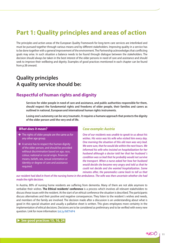## **Part 1: Quality principles and areas of action**

The principles and action areas of the European Quality Framework for long-term care services are interlinked and must be pursued together through various means and by different stakeholders. Improving quality in a service has to be done together with a general improvement of the environment. The Partnership acknowledges that conflicting goals may arise. In such situation a balance needs to be found through dialogue between the stakeholders. The decision should always be taken in the best interest of the older persons in need of care and assistance and should seek to improve their wellbeing and dignity. Examples of good practices mentioned in each chapter can be found from p.38 onward.

## **Quality principles A quality service should be:**

### **Respectful of human rights and dignity**

**Services for older people in need of care and assistance, and public authorities responsible for them, should respect the fundamental rights and freedoms of older people, their families and carers as outlined in national, European and international human rights instruments.**

**Losing one's autonomy can be very traumatic. It requires a humane approach that protects the dignity of the older person until the very end of life.** 

#### *What does it mean?*

- $\rightarrow$  The rights of older people are the same as for any other age group.
- $\rightarrow$  A service has to respect the human dignity of the older person, and should be provided without discrimination based on age, race, colour, national or social origin, financial means, beliefs, sex, sexual orientation or identity or degree of care and assistance required.

#### *Case example: Austria*

*One of our residents was unable to speak to us about his wishes. His voice was his wife who visited him every day. One morning the situation of this old man was very bad. We were sure, that he would die within the next hours. We informed his wife who insisted on hospitalization for her husband although a doctor told her that her husband´s condition was so bad that he probably would not survive the transport. When a nurse asked her how her husband would decide she became very angry and told us that he could not decide and she wanted hospitalization. Some minutes after, the paramedics came back to tell us that* 

*our resident had died in front of the nursing home in the ambulance. The wife was then uncertain whether she had made the right decision.*

In Austria, 80% of nursing home residents are suffering from dementia. Many of them are not able anymore to verbalize their wishes. **The Ethical residents' conference** is a process which involves all relevant stakeholders to discuss these issues with the resident. At the start of an ethical conference the situation is described. The participants discuss alternatives and their positive and negative consequences. They listen to the resident´s wishes and needs, and members of the family are involved. The decision made after a discussion is an understanding about what is good in this special situation and usually a palliative sheet is written. This gives employees more certainty in the implementation of ethical decisions. Decisions are to be considered as preliminary and to be verified with every new question. Link for more information: bit.ly/Mf7HP4

X **See good practices 15, 16, 24**

 $n_{b}\propto$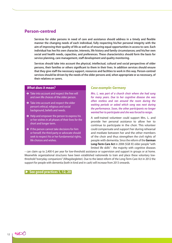### **Person-centred**

**Services for older persons in need of care and assistance should address in a timely and flexible manner the changing needs of each individual, fully respecting his/her personal integrity with the aim of improving their quality of life as well as of ensuring equal opportunities in access to care. Each individual has her/his own character, interests, life history and family circumstances; and his/her own social and health needs, capacities, and preferences. These characteristics should form the basis for service planning, care management, staff development and quality monitoring.**

**Services should take into account the physical, intellectual, cultural and social perspectives of older persons, their families or others significant to them in their lives. In addition services should ensure that they give staff the necessary support, resources and facilities to work in this way. Person-centred services should be driven by the needs of the older persons and, when appropriate or as necessary, of their relatives or carers.** 

#### *What does it mean?*

- $\rightarrow$  Take into account and respect the free will and own life choices of the older person.
- $\rightarrow$  Take into account and respect the older person's ethical, religious and social background, beliefs and needs.
- $\rightarrow$  Help and empower the person to express his or her wishes in all phases of their lives for the short and longer term.
- $\rightarrow$  If the person cannot take decisions for him or herself, the third party or advocate should seek to respect his or her fundamental rights, life choices and wishes.

#### *Case example: Germany*

*Mrs. L. was part of a church choir where she had sung for many years. Due to her cognitive disease she was often restless and ran around the room during the waiting periods or asked which song was next during the performance. Soon, the other participants no longer wanted her to participate and she was forced to resign.*

A well-trained volunteer could support Mrs. L. and provide her personal assistance to allow her to continue to participate in the choir. This volunteer could compensate and support her during rehearsal and mediate between her and the other members of the choir and thus strengthen the civil rights of people with dementia. Since the reform of the **German Long-Term-Care Act** in 2008 (SGB XI) older people "with limited life skills" - the majority with cognitive diseases

– can claim up to 2,400 € per year for low-threshold assistance or supervision and support in groups or at home. Meanwhile organizational structures have been established nationwide to train and place these voluntary lowthreshold "everyday companions" (Alltagsbegleiter). Due to the latest reform of the Long-Term-Care Act in 2012 the support for people with dementia (both in kind and in cash) will increase from 2013 onwards.



noso 12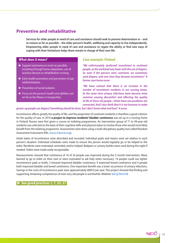## **Preventive and rehabilitative**

**Services for older people in need of care and assistance should seek to prevent deterioration in – and to restore as far as possible – the older person's health, wellbeing and capacity to live independently. Empowering older people in need of care and assistance to regain the ability or find new ways of coping with their limitations helps them remain in charge of their own life.** 

#### *What does it mean?*

- $\rightarrow$  Support autonomy as much as possible. including through home adaptation, use of assistive devices or rehabilitation nursing.
- $\rightarrow$  Early health promotion and prevention of age related diseases.
- $\rightarrow$  Prevention of social isolation.
- $\rightarrow$  Focus on the person's health and abilities, not on his or her illness or incapacities.

#### *Case example: Finland*

*"We unfortunately 'preferred' incontinent to continent people, as the workload was lower with the use of diapers. So even if the persons were continent, we sometimes used diapers, and over time they became incontinent." A former care home nurse*

*"We have noticed that there is an increase in the number of incontinent residents in our nursing home. At the same time urinary infections have become more common causing discomfort and affecting the quality of life of these old people. I think these two problems are connected. And I also think that it is not humane to make* 

#### *grown-up people use diapers! Something should be done, but I don't know what and how." A nurse*

Incontinence affects greatly the quality of life, and the proportion of continent residents is therefore a good criterion for the quality of care. In 2010 **a project to improve residents' bladder continence** was set up in a nursing home in Finland. Nurses were first given a course on toileting programmes. An intervention group of 71 to 94-year-old residents was selected on the basis of their cognitive skills and physical status to involve those who would most likely benefit from the toileting programme. Assessments were done using a multi-disciplinary quality tool called Resident Assessment Instrument (RAI, www.interrai.org).

Initial states of incontinence were described and recorded. Individual goals and means were set relative to each person's situation. Individual schedules were made to ensure the person would regularly go or be helped to the toilet. Residents were motivated, reminded, and/or helped. Bedpans or urinary bottles were used during the night if needed. Toilets were made easily recognizable.

Reassessments showed that continence of 16 of 24 people was improved during the 5 month intervention. Many learned to go to toilet on their own or were motivated to ask help when necessary. 19 people could use lighter incontinence pads or briefs, 3 showed improved bladder continence, 9 improved bowel continence and 4 people both improved bladder and bowel continence. One important benefit was a lower occurrence of urinary infections. Savings in the costs of incontinence pads were approximately 4000  $\epsilon$  per year. This project showed that finding and supporting remaining competences of even very old people is worthwhile. Weblink: bit.ly/NmrI3E

#### **► See good practices 1, 7, 23, 27**

nk $\bowtie$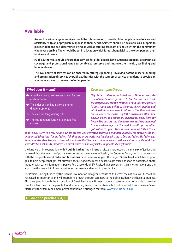### **Available**

**Access to a wide range of services should be offered so as to provide older people in need of care and assistance with an appropriate response to their needs. Services should be available as a support to independent and self-determined living as well as offering freedom of choice within the community whenever possible. They should be set in a location which is most beneficial to the older person, their families and carers.**

**Public authorities should ensure that services for older people have sufficient capacity, geographical coverage and professional range to be able to preserve and improve their health, wellbeing and independence.**

**The availability of services can be ensured by strategic planning (involving potential users), funding and organisation of services by public authorities with the support of service providers, to provide an adequate answer to the needs of older people.**

#### *What does it mean?*

- $\rightarrow$  A service exists to answer each need for care and assistance.
- $\rightarrow$  The older person has a choice among different options.
- $\rightarrow$  There are no long waiting lists.
- $\rightarrow$  There is adequate funding to enable free choice.

#### *Case example: Greece*

*"My father suffers from Alzheimer's. Although we take care of him, he often gets lost. To find him we used to ask the neighbours, call the relatives or put up some posters in busy roads and points of the area, always hoping and wishing that someone would inform us that they had seen him. In one of these cases my father was found after three days, in a very bad condition, in a park far away from our house. The doctors said that it was a miracle he managed to survive the hunger and the cold. A month ago my father got lost once again. Then a friend of mine talked to me* 

*about Silver Alert. In a few hours a whole process was activated, television channels, airports, the subway stations announced Silver Alert for my father. I felt that the entire world was looking with me to find my father. My father was*  found sound and well by a bus driver who had seen the Silver Alert announcement on the television. I really think that *Silver Alert is a solidarity initiative, a project which can be very useful for people like my father."*

Life Line Hellas in cooperation with **7 public bodies** (the ministry of citizens' protection, the ministry of justice and human rights, the ministry of public transportation, the ministry of health, the Supreme Court, the local police) and with the cooperation of **6 radio and tv stations** have been working on the Project **Silver Alert** which has as prior goal to help people that get lost primarily because of Alzheimer's disease, to get traced as soon as possible. A photo together with basic information is posted for 30 seconds on TV, Radio, digital screens on train, metro stations and the airport. In this way a lot of people get found very early and return to their families.

The Project is being funded by the Niarchos Foundation for a year. Because of its success the national WeDO coalition has raised its importance and will support its growth through seminars to the police academy, the hospital staff etc. Also a cooperation with the Association of Greek Residential Homes is about to start in order to be able to provide care for a few days for the people found wondering around on the streets (but not reported, thus a Reverse Silver Alert) until their family or a more permanent home is arranged for them. www.lifelinehellas.gr

#### ▶ See good practice 3, 4, 18

no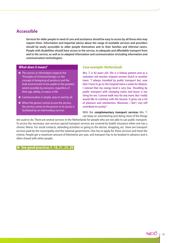### **Accessible**

**Services for older people in need of care and assistance should be easy to access by all those who may require them. Information and impartial advice about the range of available services and providers should be easily accessible to older people themselves and to their families and informal carers. People with disabilities should have access to the service, to adequate and affordable transport from and to the service, as well as to adapted information and communication (including information and communication technologies).**

#### *What does it mean?*

- $\rightarrow$  The service or information respects the 'Principles of Universal Design', i.e. the concept of designing all products and the built environment to be usable to the greatest extent possible by everyone, regardless of their age, ability, or status in life.
- $\rightarrow$  Communication is simple, easy to read by all.
- $\rightarrow$  When the person cannot access the service, the service comes to the person or its access is facilitated by an intermediary service.

#### *Case example: Netherlands*

*Mrs. T. is 83 years old. She is a kidney patient and as a volunteer she teaches migrant women Dutch in another town. "I always travelled by public transport but, now that I have to go to the hospital twice a week for dialysis, I noticed that my energy level is very low. Travelling by public transport with changing trains and buses is too tiring for me. I cannot walk very far any more. But I really would like to continue with the lessons. It gives me a lot of pleasure and satisfaction. Moreover, I feel I can still contribute to society".* 

With the **complementary transport services** Mrs. T. can keep on volunteering and doing most of the things

she used to do. There are several services in the Netherlands for people who are not able to use public transport. To access the necessary care services special transport services are covered by health insurance when one has a chronic illness. For social contacts, attending activities or going to the doctor, shopping, etc. there are transport services paid by the municipality and the national government. One has to apply for these services and meet the criteria. People get a maximum amount of kilometres per year, and transport has to be booked in advance and is often shared with other people.

**► See good practices 7, 18, 21, 23, 26**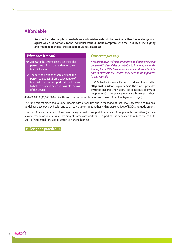## **Affordable**

**Services for older people in need of care and assistance should be provided either free of charge or at a price which is affordable to the individual without undue compromise to their quality of life, dignity and freedom of choice (the concept of universal access).** 

#### *What does it mean?*

- $\rightarrow$  Access to the essential services the older person needs is not dependent on their financial resources.
- $\rightarrow$  The service is free of charge or if not, the person can benefit from a wide range of financial or in-kind support that contributes to help to cover as much as possible the cost of the service.

#### *Case example: Italy*

*A municipality in Italy has among its population over 2,000 people with disabilities or not able to live independently. Among them, 70% have a low income and would not be able to purchase the services they need to be supported in everyday life.* 

In 2004 Emilia Romagna Region introduced the so called **"Regional Fund for Dependency".** The fund is provided by surtax on IRPEF (the national tax of incomes of physical people). In 2011 the yearly amount available was of about

480,000,000 € (30,000,000 € directly from the dedicated taxation and the rest from the Regional budget).

The fund targets older and younger people with disabilities and is managed at local level, according to regional guidelines developed by health and social care authorities together with representatives of NGOs and trade unions.

The fund finances a variety of services mainly aimed to support home care of people with disabilities (i.e. care allowances, home care services, training of home care workers…). A part of it is dedicated to reduce the costs to users of residential care services (such as nursing homes).

**See good practice 14** 

no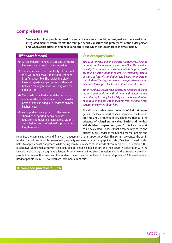## **Comprehensive**

**Services for older people in need of care and assistance should be designed and delivered in an integrated manner which reflects the multiple needs, capacities and preferences of the older person and, when appropriate, their families and carers, and which aims to improve their wellbeing.**

#### *What does it mean?*

- $\rightarrow$  An older person in need of care and assistance has very diverse needs and expectations.
- $\rightarrow$  The service takes this complexity into account in its work and answers to the different needs in as far as possible. The service therefore looks for a partnership approach within and between the organisations working with the older person
- $\rightarrow$  The care is organised around the person and minimizes the efforts required from the older person to find an adequate service to answer his/her needs.
- $\rightarrow$  A comprehensive approach by the service should be supported by an adequate regulatory framework, organisational visions and missions, and professional approaches to long-term care.

#### *Case example: France*

*Mrs. D. is 79 years old and she has Alzheimer's. She lives at home and her husband takes care of her. He benefited recently from home care services which help him with grooming. But the situation of Mrs. D. is worsening, mainly because of lack of stimulation. She begins to undress in the middle of the day; she does not recognize her husband anymore. It is impossible to understand what she says.* 

*Mr. D. is exhausted. He feels depressed not to be able any more to communicate with his wife with whom he has been sharing his daily life for 50 years. He is in a situation of 'burn out' and professional carers from the home care services are worried about him.*

The Gironde **public local network of help at home** gathers the local network of social services of the Gironde province and 34 other public stakeholders. Thanks to the existence of a **legal status called 'Social and medical stakeholders cooperation group'**, this local network could be created. It ensures that a community-based and quality public service is maintained for frail people and

simplifies the administrative and financial management of the support provided. This system prevented the cut in funding for frail people while guaranteeing a quality service on a large geographical scale (164 cities covered). It also helps to apply a holistic approach while acting locally, in respect of the needs of care recipients. For example, this local network launched a study on the needs of older people in need of care and their carers in cooperation with the University laboratory on cognitive sciences. Priorities were defined after discussion among the university, the older people themselves, the carers and the funders. The cooperation will lead to the development of ICT-based services used for people like Mrs. D. to stimulate their mental capacities.

▶ See good practices 2, 3, 16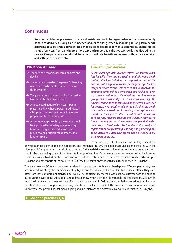### **Continuous**

**Services for older people in need of care and assistance should be organised so as to ensure continuity of service delivery as long as it is needed and, particularly when responding to long-term needs, according to a life-cycle approach. This enables older people to rely on a continuous, uninterrupted range of services, from early intervention, care and support, to palliative care, while not disrupting the service. Care providers should work together to facilitate transitions between different care services and settings as needs evolve.** 

#### *What does it mean?*

- $\rightarrow$  The service is reliable, delivered on time and flexible.
- $\rightarrow$  The service is based on the person's changing needs and can be easily adapted to answer them over time.
- $\rightarrow$  The person can ask one coordination service to cover all his/her diverse needs.
- $\rightarrow$  A good coordination of services is put in place including when a person is admitted in a hospital or comes back home to ensure a proper transfer of information.
- $\rightarrow$  A continuous approach by the service should be supported by an adequate regulatory framework, organisational visions and missions, and professional approaches to long-term care.

### *Case example: Slovenia*

*Seven years ago Rok, already retired for several years, lost his wife. They had no children and his wife's death pushed him into isolation and depression, and at the end his health began to worsen. Seven years ago the first Daily Centre of Activities was opened and Rok was curious enough to try it. Rok is a shy person and he did not even try to speak with others. He joined the morning exercise group, first occasionally and then each morning. His physical condition soon improved (to the great surprise of his doctor). He started to talk of the pain that the death of his wife provoked and his feeling of acceptance was raised. He then joined other activities such as chorus, card playing, memory training and culinary courses. He is now running the morning exercise group and his cakes are known as 'Rok's cakes'. He found a kindred soul, and together they are picnicking, dancing and gardening. His social network is now well-grown and he is back in the active part of the life.* 

In the nineties, institutional care was in large extent the

only solution for older people in need of care and assistance. In 1999 the Ljubljana municipality consulted with the older people's organizations and decided to create **Daily activities centres,** a low-threshold advice point and a first step in the developing chain of uninterrupted range of services. Other steps were the creation of an Institute for home care as a subsided public service and other either public services or services in public-private partnership in Ljubljana and other parts of the country. In 2005 the first Daily Center of Activities (DCA) opened in Ljubljana.

There are now five DCAs and they are considered to be a success. With a membership fee of 7 euros per month, they are financed mainly by the municipality of Ljubljana and the Ministry of labour, family and social affairs. They each offer from 30 to 35 different activities per week. The participatory method was used to discover both the need to introduce this type of inclusion point and to better know which activities older people are interested in. Meanwhile, most institutional care homes are now offering daily care as well. In 2011 two new initiatives contributed to improve the chain of care and support with nursing hospital and palliative hospital. The pressure on institutional care seems to decrease; the possibilities for active ageing and inclusion are now accessible by every older citizen in Ljubljana.

See good practices 3, 4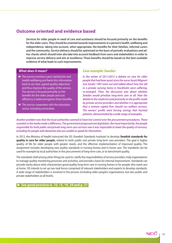### **Outcome oriented and evidence based**

**Services for older people in need of care and assistance should be focused primarily on the benefits for the older users. They should be oriented towards improvements in a person's health, wellbeing and independence, taking into account, when appropriate, the benefits for their families, informal carers and the community. Service delivery should be optimised on the basis of periodic evaluations and adhoc checks which should inter alia take into account feedback from users and stakeholders in order to improve service delivery and aim at excellence. These benefits should be based on the best available evidence of what leads to such improvements.**

#### *What does it mean?*

- $\rightarrow$  The service monitors users' satisfaction and health/wellbeing and feeds this information back to set clear, agreed quality objectives and thus improve the quality of the service. The service is focused primarily on the benefits for the older people and cost efficiency is balanced against these benefits.
- $\rightarrow$  The service cooperates with the education sector, including universities.

#### *Case example: Sweden*

*In the winter of 2011/2012 a debate on care for older people that had been quiet since the nurse Sarah Wägnert (Lex Sarah) 1997 went out and talked about how the old in a private nursing home in Stockholm were suffering, re-emerged. Then, the discussion was about whether Sweden would privatize long-term care at all. Now the debate in the media focused primarily on the profits made by private service providers and whether it is appropriate that a venture capital firm should run welfare services. The owners' profits were forcing savings that harmed patients, demonstrated by a wide range of examples.* 

*Another problem was that the local authorities seemed to have lost control over the procurement procedures. These scandals in the media made a difference. The government proposed new legislation. But most importantly, the people responsible for both public and private long-term care services saw it was impossible to lower the quality of services, including for people with dementia who are unable to speak for themselves.*

In 2012, the Ministry of Health instructed the SIS (Swedish Standards Institute) to develop **Swedish standards for quality in care for older people,** related to both public and private long-term care providers. The goal is higher quality of life for older people with greater needs, and the effective implementation of improved quality. The assignment includes developing new quality standards in nursing homes and in home care. The standards can be used for example by local authorities in the procurement of long-term care, or to benchmark quality.

The standards shall among other things be used to: clarify the responsibilities of service providers, help organizations to manage quality monitoring processes and activities, and provide a basis for internal improvement. Standards can provide clarity about what characterizes good quality long-term care in nursing homes or for people who need care at home. SIS intends to set up two task forces comprised of relevant stakeholders and experts to develop standards. A wide range of stakeholders is involved in the process (including older people's organisations, but also public and private stakeholders at all levels).

#### **► See good practices 6, 10, 15, 19, 24 and p. 31**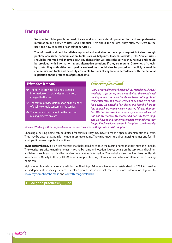### **Transparent**

**Services for older people in need of care and assistance should provide clear and comprehensive information and advice to users and potential users about the services they offer, their cost to the user, and how to access or cancel the service(s).** 

**The information should be reliable, updated and available not only upon request but also through publicly accessible communication tools such as helplines, leaflets, websites, etc. Service users should be informed well in time about any change that will affect the service they receive and should be provided with information about alternative solutions if they so require. Outcomes of checks by controlling authorities and quality evaluations should also be posted on publicly accessible communication tools and be easily accessible to users at any time in accordance with the national legislation on the protection of personal data.** 

#### *What does it mean?*

- $\rightarrow$  The service provides full and accessible information on its activities and the cost charged to the user.
- $\rightarrow$  The service provides information on the reports of quality controls concerning the service.
- $\rightarrow$  The service is transparent on the decision making process on care.

### *Case example: Ireland*

*'Our 78 year old mother became ill very suddenly. She was not likely to get better, and it was obvious she would need nursing home care. As a family we knew nothing about residential care, and there seemed to be nowhere to turn for advice. We visited a few places, but found it hard to find somewhere with a vacancy that we felt was right for her. We had to accept a temporary solution which did not suit my mother. My mother did not stay there long, and we have found somewhere where my mother is very happy. Placing a loved parent in long-term care is usually* 

#### *difficult. Working without support or information can increase the problem.' Irish daughter.*

Choosing a nursing home can be difficult for families. They may have to make a speedy decision due to a crisis. They may be upset that a family member must leave home. They may know little about nursing homes and feel illequipped in assessing potential options.

**Myhomefromhome.ie** is an Irish website that helps families choose the nursing home that best suits their needs. The website lists private nursing homes in Ireland by name and location. It gives details on the services and facilities available in each so that families receive comparative information. The website also provides links to Health Information & Quality Authority (HIQA) reports, supplies funding information and advice on alternatives to nursing home care.

Myhomefromhome.ie is a service within the Third Age Advocacy Programme established in 2008 to provide an independent advocacy service for older people in residential care. For more information log on to www.myhomefromhome.ie and www.thirdageireland.ie

#### **▶ See good practices 8, 15, 22**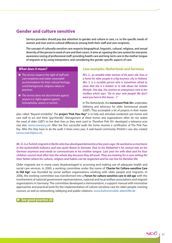## **Gender and culture sensitive**

**Service providers should pay due attention to gender and culture in care, i.e. to the specific needs of women and men and to cultural differences among both their staff and care recipients.** 

**The concept of culturally sensitive care respects biographical, linguistic, cultural, religious, and sexual diversity of the person in need of care and their carers. It aims at: opening the care system for everyone; awareness raising of professional staff; providing health care and long-term care in the mother tongue of migrants or by using interpreters; and considering the gender specific aspects of care.**

#### *What does it mean?*

- $\rightarrow$  The service respects the right of staff and care recipients and makes reasonable accommodation for their cultural heritage, social background, religious values or practices.
- $\rightarrow$  The service does not discriminate against anyone (i.e. fights against ageism, homophobia, sexism or racism).

## *Case examples: Netherlands and Germany*

*Mrs. S., an amiable older woman of 83 years old, lives in a home for older people in a big business-city in Holland. Mrs. S. is a sociable person who is sometimes afraid to show that she is a lesbian or to talk about her lesbian lifestyle. One day, she receives an anonymous note in her mailbox which says: "Go to your own people! We don't want you here in this house…!"* 

In The Netherlands, the **movement Pink 50+** undertakes lobbying and advocacy for older homosexual people (LGBT). They accomplish a lot of projects in their master

plan called: "Beyond invisibility". The **project 'Pink Pass Key"** is to help and stimulate residential care homes and care staff to act and think "gay-friendly". Management of these homes and organizations often do not realize the need of older LGBT's to live their lives as they were used to. Therefore Pink 50+ developed a tolerance-scan (see also: www.rozezorg.nl). After the first successful audit the home receives a certification of The Pink Pass Key. After this they have to do the audit 3 times every year. A web-based community (Pink50+) was also created (www.roze50plus.nl).

*Mr. Ü. is a Turkish migrant in Berlin who has developed dementia a few years ago. He worked as a mechanic in the automobile industry and was quite fluent in German. Due to his Alzheimer's he cannot rely on his German anymore and needs to communicate in his mother tongue. Last year his wife died and his four children cannot look after him the whole day because they all work. They are looking for a care setting for their father where his culture, religion and habits can be respected and he can live his familiar life.*

Older migrants are in many cases disadvantaged in accessing and making use of adequate health and social care services. In 2000, a working committee under the name of '**Charter for Culture-sensitive Care in Old Age'** was founded by social welfare organisations working with older people and migrants. In 2006, the working committee was transformed into a **Forum for culture-sensitive care in old age** with the involvement of national government representatives, national and local welfare associations and migrant organisations in Germany. The committee developed a memorandum, a support manual with innovative approaches and practical tools for the implementation of culture-sensitive care for older people, training courses, as well as networking, lobbying and public relations. www.kultursensible-altenhilfe.de

**► See good practice 20**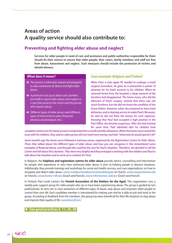## **Areas of action A quality service should also contribute to:**

## **Preventing and fighting elder abuse and neglect**

**Services for older people in need of care and assistance and public authorities responsible for them should do their utmost to ensure that older people, their carers, family members and staff are free from abuse, harassment and neglect. Such measures should include the protection of victims and whistle blowers.** 

#### *What does it mean?*

- $\rightarrow$  The service is informed, trained and prepared to raise awareness of, detect and fight elder abuse.
- $\rightarrow$  A protocol is set up to allow users, families and staff to report elder abuse and neglect in a way that protects the victim and the person who reports abuse.
- $\rightarrow$  Different types of elder abuse need different types of interventions plans (financial, physical, psychological, etc.).

#### *Case example: Belgium and Finland*

*When Paul, a man aged 76, needed to undergo a small surgical procedure, he gave as a precaution a power of attorney for his bank account to his children. When he returned home from the hospital, a large amount of the furniture had disappeared. The home nurse, who did the aftercare of Paul's surgery, noticed that there was not much furniture, but she did not know the condition of the house before. However, when she proposed to have meal deliveries, and a cleaning service to make Paul's life easier, he said he did not have the money for such expenses. Knowing that Paul had occupied a high position in the Post Office, she became suspicious. After she had insisted for some time, Paul admitted that his children took* 

*complete control over his bank account and granted him a small monthly allowance. When the home nurse raised this issue with his children, they said an older person did not need more money, and that "otherwise he would spend it all".* 

*Some months ago the home nurse followed a training course, organised by the Registration Centre for Elder Abuse. There they talked about the different types of elder abuse and how you can recognise it. She remembered some examples of financial abuse, and thought this could be the case for Paul's situation. Therefore, she decided to call the Centre and tell about this situation. They were very helpful and they arranged a meeting with the children and Paul to talk about the situation and to work out a solution for Paul.*

In Belgium, the **helplines and registration centres for elder abuse** provide advice, counselling and intervention for people who experience or who have witnessed elder abuse. It aims at helping people in abusive situations. Additionally, they provide trainings and workshops for social and health services, and care organisations, on how to recognise and detect elder abuse. www.meldpuntouderenmishandeling.be (in Dutch), www.respectseniors.be (in French), www.home-info.be (Dutch and French), www.inforhomes-asbl.be (Dutch and French)

In Finland, Paul could contact the **Finnish Association of the Shelters for the Aged.** This organisation runs a weekly peer support group for older people who are or have been experiencing abuse. The group is guided by two professionals. Its aims are to raise awareness of different types of abuse, stop abuse and empower older people to control their own life. Each candidate member is interviewed for making sure she/he is able to join and work in the group. According to feedback from the members, the group has been beneficial for their life situation to stop abuse and improve their quality of life. suvantory.fi/en/.

#### **► See good practices 5, 11, 25, 28**

noso  $22$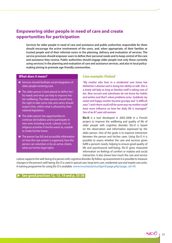## **Empowering older people in need of care and create opportunities for participation**

**Services for older people in need of care and assistance and public authorities responsible for them should encourage the active involvement of the users, and, when appropriate, of their families or trusted people and of their informal carers in the planning, delivery and evaluation of services. The service provision should empower users to define their personal needs and to keep control of the care and assistance they receive. Public authorities should engage older people (not only those currently using services) in the planning and evaluation of care and assistance services, and also in local policymaking aiming to promote age-friendly communities.**

#### *What does it mean?*

- $\rightarrow$  Services should facilitate social integration of older people receiving care.
- $\rightarrow$  The older person is best placed to define her/ his needs and what can help to improve his/ her wellbeing. The older person should have the right to take some risks and carers should respect that, within what is allowed by their national legislation.
- $\rightarrow$  The older person has opportunities to continue old hobbies and to participate in new ones including social, cultural, civic or religious activities if she/he wants to, outside or inside his/her home.
- $\rightarrow$  The person has full and accessible information on how the care system is organised, how the person can volunteer or be an active citizen, what are his/her legal rights.

#### *Case example: Finland*

*"My mother who lives in a residential care home has Alzheimer's disease and is losing her ability to talk. She is a lovely old lady as long as familiar staff is taking care of her. New recruits and substitutes do not know her habits and wishes and that's when problems arise. Suddenly my sweet and happy mother became grumpy and "a difficult case". I wish there could still be some way my mother could have more influence on how her daily life is managed." Son of an 87-year old woman*

**Elo-D** is a tool developed in 2005-2008 in a Finnish project to improve the wellbeing and quality of life of older people with cognitive disorder. Elo-D is based on the observation and information expressed by the older person. One of the goals is to improve interaction between the person and his/her carer. Using Elo-D it is possible to assess whether the care and services given fulfill a person's needs, helping to ensure good quality of life and psychosocial well-being. Elo-D gives measured information on feelings of comfort or malaise and social interaction. It also shows how much the care and service

culture supports the well-being of a person with cognitive disorder. By follow-up assessments it is possible to measure changes in the person's well-being. Elo-D is used in special care, long-term care, residential care and respite care units. A training programme for using Elo-D is available. www.muistiasiantuntijat.fi/page.php?page\_id=95

#### **►** See good practices 12, 13, 19 and p. 35-36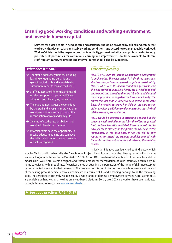## **Ensuring good working conditions and working environment, and invest in human capital**

**Services for older people in need of care and assistance should be provided by skilled and competent workers with a decent salary and stable working conditions, and according to a manageable workload. Workers' rights should be respected and confidentiality, professional ethics and professional autonomy protected. Opportunities for continuous learning and improvement should be available to all care staff. Migrant carers, volunteers and informal carers should also be supported.** 

#### *What does it mean?*

- $\rightarrow$  The staff is adequately trained, including learning or upgrading geriatric and gerontological skills and is available in sufficient number to look after all users.
- $\rightarrow$  Staff has access to life-long learning and receives support to cope with difficult situations and challenging behaviours.
- $\rightarrow$  The management values the work done by the staff and invests in improving their working conditions and supporting the reconciliation of work and family life.
- $\rightarrow$  Salaries reflect the responsibilities and workload of each staff member.
- $\rightarrow$  Informal carers have the opportunity to receive adequate training and can have the skills they acquired through care work officially recognized.

### *Case example: Italy*

*Ms. L. is a 45-year-old Russian woman with a background in engineering. Since her arrival in Italy, three years ago, she has always been employed as private assistant by Mrs. R. When Mrs. R.'s health conditions got worse and she was moved to a nursing home, Ms. L. needed to find another job and turned to the care job offer and demand matching service managed by the local municipality. The officer told her that, in order to be inserted in the data base, she needed to prove her skills in the care sector, either providing a diploma or demonstrating that she had all the necessary competences.* 

*Ms. L. would be interested in attending a course but she urgently needs to find another job – the officer suggested that she have her skills validated. If she demonstrates to have all those foreseen in the profile she will be inserted immediately in the data base. If not, she will be only requested to attend the training modules related with the skills she does not have, thus shortening the training course.*

In Italy, an initiative was launched to find a way which

enables Ms. L. to validate her skills: **the Care Talents Project.** It was funded under the Lifelong Learning Programme Sectorial Programme Leonardo Da Vinci (2007-2010) - Action TOI. It is a transfer/ adaptation of the French validation model skills (VAE). Care Talents designed and tested a model for the validation of skills informally acquired by inhome caregivers, with a set of tests / exercises aimed at attesting the possession of the range of skills necessary to perform the tasks related to that profession. The care worker is tested in two sessions of 4 hours each – at the end of the testing process he/she receives a certificate of acquired skills and a training package to fill the remaining gaps. The certificate is currently recognized by a wide range of domestic employment services. Care Talents' tests are available on hard copies as well as on a web-based platform. So far, over 300 care workers have been validated through this methodology. See: www.caretalents.it

**► See good practices 9, 12, 13, 17**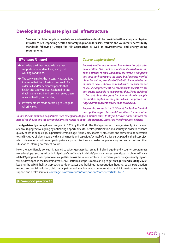## **Developing adequate physical infrastructure**

**Services for older people in need of care and assistance should be provided within adequate physical infrastructures respecting health and safety regulation for users, workers and volunteers, accessibility standards following "Design for All" approaches as well as environmental and energy-saving requirements.**

#### *What does it mean?*

- $\rightarrow$  An adequate infrastructure is one that supports independent living and good working conditions.
- $\rightarrow$  The service makes the necessary adaptations to ensure that the infrastructures are fit for older frail and/or demented people, that health and safety rules are adhered to, and that in general staff and users can enjoy clean, safe and healthy surroundings.
- $\rightarrow$  Investments are made according to Design for All principles.

#### *Case example: Ireland*

*Angela's mother has returned home from hospital after an operation. She is not as mobile as she used to be and finds it difficult to walk. Thankfully she lives in a bungalow and does not have to use the stairs, but Angela is worried about her getting in and out of the bath. She would like her mother to have a shower installed which is easier for her to use. She approaches the local council to see if there are any grants available to help pay for this. She is delighted to find out about the grant for older or disabled people. Her mother applies for the grant which is approved and Angela arranged for the work to be carried out.*

*Angela also contacts the St Vincent De Paul in Dundalk and applies to get a Personal Panic Alarm for her mother* 

*so that she can summon help if there is an emergency. Angela's mother wants to stay in her own home and with the help of the shower and the personal alarm she is able to do so." (from Ireland, Louth Age-friendly county website)*

The **Age-friendly concept** was designed in 2005 by the World Health Organization. The age-friendly city is aimed at encouraging "active ageing by optimizing opportunities for health, participation and security in order to enhance quality of life as people age. In practical terms, an age-friendly city adapts its structures and services to be accessible to and inclusive of older people with varying needs and capacities." A total of 35 cities participated in the first project which developed a bottom-up participatory approach i.e. involving older people in analysing and expressing their situation to inform government policies.

Now, the age-friendly concept is applied to wider geographical areas. In Ireland 'age-friendly county' programmes were developed such as in Louth. In Spain, an 'age-friendly Andalucia' programme was recently put in place. In France, a label 'Ageing well' was open to municipalities across the whole territory. In Germany, plans for age-friendly regions will be developed in the upcoming years. AGE Platform Europe is campaigning to get an **'age-friendly EU by 2020'**, keeping the WHO's holistic approach: outdoor spaces and buildings, transportation, housing, social participation, respect and social inclusion, civic participation and employment, communication and information, community support and health services. www.age-platform.eu/en/component/content/article/1457

#### ▶ See good practice 16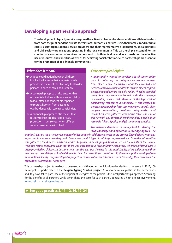### **Developing a partnership approach**

**The development of quality services requires the active involvement and cooperation of all stakeholders from both the public and the private sectors: local authorities, service users, their families and informal carers, users' organisations, service providers and their representative organisations, social partners and civil society organisations operating in the local community. This partnership is essential for the creation of a continuum of services that respond to both individual and local needs, for the effective use of resources and expertise, as well as for achieving social cohesion. Such partnerships are essential for the promotion of age-friendly communities.**

#### *What does it mean?*

- $\rightarrow$  A good coordination between all those involved will ensure that adequate care is provided in the most effective way to all older persons in need of care and assistance.
- $\rightarrow$  A partnership approach also ensures that no carer is left alone with sole responsibility to look after a dependent older person to protect her/him from becoming overburdened with care responsibilities.
- $\rightarrow$  A partnership approach also means that responsibilities are clear and privacy protection issues solved, when different service providers are involved.

#### *Case example: Belgium*

*A municipality wanted to develop a local senior policy plan. In doing so, the policymakers wanted to hear from older people themselves what they wanted and needed. Moreover, they wanted to involve older people in developing and writing the policy plan. The idea sounded great, but they were confronted with the challenge of executing such a task. Because of the high cost of outsourcing this job to a university, it was decided to develop a partnership: local senior advisory boards, older people's organisations, provincial policy makers and researchers were gathered around the table. The aim of this network was threefold: involving older people in (a) research, (b) local policy, and (c) community practice.* 

*The network developed a survey tool to identify the local challenges and opportunities for ageing well. The* 

*emphasis was on the active involvement of older people in all different levels of the project. They decided what was important to measure how they could be involved, which type of trainings they needed, etc. Once the information* was gathered, the different partners worked together on developing actions, based on the results of the survey. *From the results it became clear that there was a tremendous lack of family caregivers. Whereas informal care is often provided by children, it became clear that this was not the case in this municipality. More older people than average had no children, or had children who lived far away. Based on this result, the municipality developed two main actions. Firstly, they developed a project to recruit volunteer informal carers. Secondly, they increased the capacity of professional home care.* 

This partnership project turned out to be so successful that other municipalities decided to do the same. In 2012, 160 municipalities participated in the **Belgian Ageing Studies project**. Also several municipalities in the Netherlands and Italy have taken part. One of the important strengths of the project is the local partnership approach. Searching for the benefits of all partners, while diminishing the costs for each partner, generated a high project involvement. www.belgianageingstudies.be

#### X **See good practices 2, 11, 12, 16, 19, 24**

noso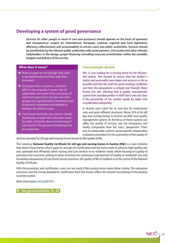## **Developing a system of good governance**

**Services for older people in need of care and assistance should operate on the basis of openness and transparency; respect for international, European, national, regional and local legislation; efficiency; effectiveness; and accountability to service users and public authorities. Services should be coordinated by the relevant public authorities with social partners, civil society and other relevant stakeholders in the design, proper financing (including resources prioritisation within the available budget) and delivery of the service.**

#### *What does it mean?*

- $\rightarrow$  Rules on paper are not enough, they need to be implemented and their objectives promoted.
- $\rightarrow$  Good governance requires a concerted effort to aim at quality. It means that all stakeholders are aware of the complexity of needs and expectations of users and other groups, and a general policy framework exists to promote cooperation and integration between the relevant actors.
- $\rightarrow$  Cost should not be the sole criterion. Quality should play an equal role in decisions made by public authorities about the financing of care services. The process of tendering must be transparent.

### *Case example: Austria*

*Mrs. K. was looking for a nursing home for her 89-yearold mother. She wanted to ensure that her mother´s habits and personality were taken into account as far as possible and that the staff has good working conditions and thus the atmosphere is relaxed and friendly. Many homes she was checking had a quality management system that sounded perfect in itself. But it was not clear if the personality of her mother would be taken into consideration adequately.*

In Austria each Land has its own law for institutional care, and quite different structures. About 25% of all old age and nursing homes in Austria use their own quality management system. As the focus of these systems can differ, the quality of services was not transparent and hardly comparable from the users´ perspective. There was no nationwide, uniform, sector-specific independent evaluation procedure for the assessment of the quality of

services provided by old age and nursing homes based on the quality of life.

The voluntary **National Quality Certificate for old age and nursing homes in Austria (NQC)** is a new initiative that attests those homes which apply for and get the certification that the home seeks to advance high quality care and, optimally and efficiently tailors nursing and care services to its residents' needs. While focusing on quality of processes and outcomes, putting in place incentives for continuous improvement of quality in residential care and increasing transparency of care home service provision, the quality of life of residents is at the centre of the National Quality Certificate.

With this procedure and certification, users can see easily if the nursing home meets these criteria. The evaluation outcomes and the strong demand for certification from the homes reflect the smooth functioning of this positive incentive system.

More information: bit.ly/Mf7ATu

▶ See good practices 16, 24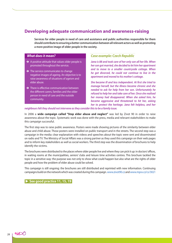### **Developing adequate communication and awareness-raising**

**Services for older people in need of care and assistance and public authorities responsible for them should contribute to ensuring a better communication between all relevant actors as well as promoting a more positive image of older people in the society.** 

#### *What does it mean?*

- $\rightarrow$  A positive attitude that values older people is promoted throughout the service.
- $\rightarrow$  The service communicates to change negative images of ageing. An objective is to raise awareness of situations of ageism and elder abuse.
- $\rightarrow$  There is effective communication between the different carers, families and the older person in need of care and the outside community.

#### *Case example: Czech Republic*

*Jana is 88 and took care of her only son all her life. When her son got married, she decided to let him her apartment and to move to a smaller countryside cottage. When he got divorced, he could not continue to live in the apartment and moved to his mother's cottage.* 

*She became ill and less independent. At first she tried to manage herself, but the illness became chronic and she needed to ask for help from her son. Unfortunately he refused to help her and take care of her. Once she realised her money had disappeared. When she asked him, he became aggressive and threatened to hit her, asking her to protect the heritage. Jana felt helpless, and her* 

*neighbours felt they should not intervene as they consider this to be a family issue.* 

In 2006 a **wide campaign called "Stop elder abuse and neglect"** was led by Zivot 90 in order to raise awareness about the topic. Systematic work was done with the press, media and relevant stakeholders to make this campaign successful.

The first step was to raise public awareness. Posters were made showing pictures of the similarity between elder abuse and child abuse. Those posters were installed on public transport and in the streets. The second step was a campaign in the media: clear explanation with videos and speeches about the topic were sent and disseminated on radio and TV. The Ministry of Social Affairs was a strong partner as they used this campaign on their web pages and to inform key stakeholders as well as social workers. The third step was the dissemination of brochures to help identify the victims.

The brochures were distributed to the places where older people live and where they can pick it up: in doctors' offices, in waiting rooms at the municipalities, seniors' clubs and leisure time activities centres. This brochure tackled the topic in a sensitive way: the purpose was not only to show what could happen but also what are the rights of older people and how the problem of elder abuse could be solved.

This campaign is still ongoing: the brochures are still distributed and reprinted with new information. Continuing campaigns build on the network which was created during this campaign. www.zivot90.cz and www.mpsv.cz/cs/3021

#### **▶ See good practice 11, 15, 19**

no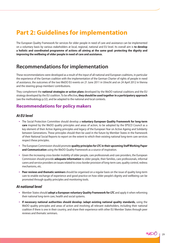## **Part 2: Guidelines for implementation**

The European Quality Framework for services for older people in need of care and assistance can be implemented on a voluntary basis by various stakeholders at local, regional, national and EU level. Its overall aim is **to develop a holistic and coordinated programme of actions all aiming at the same goal: protecting the dignity and improving the wellbeing of older people in need of care and assistance.**

## **Recommendations for implementation**

These recommendations were developed as a result of the input of all national and European coalitions, in particular the experience of the German coalition with the implementation of the German Charter of rights of people in need of assistance, the outcomes of the two WeDO EU events on 21 June 2011 in Utrecht and on 24 April 2012 in Vienna and the steering group members' contributions.

They complement the **national strategies or action plans** developed by the WeDO national coalitions and the EU strategy developed by the EU coalition. To be effective**, they should be used together in a participatory approach** (see the methodology p.32), and be adapted to the national and local contexts.

## **Recommendations for policy makers**

#### *At EU level*

- • The Social Protection Committee should develop a **voluntary European Quality Framework for long-term care** inspired by the WeDO quality principles and areas of action, to be adopted by the EPSCO Council as a key element of their Active Ageing principles and legacy of the European Year on Active Ageing and Solidarity between Generations. These principles should then be used in the future by Member States in the framework of their National Social Reports to report on the extent to which their existing national long-term care services respect these principles.
- • The European Commission should promote **quality principles for LTC in their upcoming Staff Working Paper and Communication** using the WeDO Quality Framework as a source of inspiration.
- • Given the increasing cross-border mobility of older people, care professionals and care providers, the European Commission should provide **adequate information** to older people, their families, care professionals, informal carers and service providers on issues related to cross-border provision of long-term care, quality control, redress mechanisms, etc.
- • **Peer reviews and thematic seminars** should be organised on a regular basis on the issue of quality long-term care to enable exchange of experience and good practice on how older people's dignity and wellbeing can be promoted through quality principles and monitoring tools.

### *At national level*

- • Member States should **adopt a European voluntary Quality Framework for LTC** and apply it when reforming their national long-term care, health and social systems.
- • **If necessary national authorities should develop /adapt existing national quality standards,** using the WeDO quality principles and areas of action and involving all relevant stakeholders, including their national coalition if there is one in their country, and share their experience with other EU Member States through peer reviews and thematic seminars.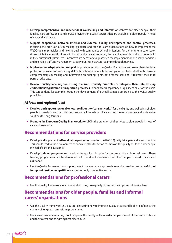- • Develop **comprehensive and independent counselling and information centres** for older people, their families, care professionals and service providers on quality services that are available to older people in need of care and assistance.
- • **Support cooperation between internal and external quality development and control processes,**  including the provision of counselling, guidance and tools for care organisations on how to implement the WeDO quality principles and how to deal with common structural limitations for the long-term care sector (these might include difficulties with human and financial resources, the lack of accessible outdoor spaces, lacks in the educational system, etc.). Incentives are necessary to guarantee the implementation of quality standards and to enable staff and management to carry out these tasks, for example through training.
- • **Implement or adapt existing complaints** procedures with the Quality Framework and strengthen the legal protection of users and carers (e.g. define time frames in which the complaint has to be dealt with). Provide complementary counselling and information on existing rights, both for the user and, if relevant, their third party or advocate.
- Develop quality labelling tools using the WeDO quality principles or integrate them into existing **certification/registration or inspection processes** to enhance transparency of quality of care for the users. This can be done for example through the development of a checklist made according to the WeDO quality principles.

#### *At local and regional level*

- • **Develop and support regional or local coalitions (or 'care networks')** for the dignity and wellbeing of older people in need of care or assistance, involving all the relevant local actors to seek innovative and sustainable solutions for long-term care.
- Promote the European Quality Framework for LTC in the provision of all services to older people in need of care and assistance.

### **Recommendations for service providers**

- • Develop and implement **self-evaluation processes** based on the WeDO Quality Principles and areas of action. This should lead to the development of concrete plans for action to improve the quality of life of older people in need of care and assistance
- • Develop **training programmes** based on the quality principles for the care staff and informal carers. These training programmes can be developed with the direct involvement of older people in need of care and assistance.
- • Use the Quality Framework as an opportunity to develop a new approach to service provision and a **useful tool to support positive competition** in an increasingly competitive sector.

## **Recommendations for professional carers**

• Use the Quality Framework as a basis for discussing how quality of care can be improved at service level.

## **Recommendations for older people, families and informal carers' organisations**

- • Use the Quality Framework as a basis for discussing how to improve quality of care and lobby to influence the content of long-term care reform programmes.
- • Use it as an awareness-raising tool to improve the quality of life of older people in need of care and assistance and their carers, and to fight against elder abuse.

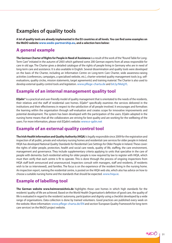## **Examples of quality tools**

**A lot of quality tools are already implemented in the EU countries at all levels. You can find some examples on the WeDO website www.wedo-partnership.eu, and a selection here below:**

## **A general example**

**The German Charter of Rights for People in Need of Assistance** is a result of the work of the "Round Table for Long-Term Care" initiated in the autumn of 2003 which gathered some 200 German experts from all areas responsible for care in old age. The Charter gives a detailed catalogue of the rights of people living in Germany who are in need of long-term care and assistance. It is also available in English. Several dissemination and quality tools were developed on the basis of the Charter, including an Information Centre on Long-term Care Charter, wide awareness-raising activities (conferences, campaigns, a specialised website, etc.), charter-oriented quality management tools (e.g. selfevaluations, quality circles, mission statements, target agreements) and training material. The Charter is also used to develop external quality control tools and legislation. www.pflege-charta.de and bit.ly/MeIgYL

## **Example of an internal management quality tool**

**EQalin®** is a practical and user-friendly model of quality management that is orientated to the needs of the residents, their relatives and the staff of residential care homes. EQalin® specifically examines the services delivered in the institutions and their effectiveness in respect to the satisfaction of all people involved. It encourages and formalises the learning within the organisation through self-evaluation and creates scope for innovative improvements and potential development. The system has been developed with the participation of the users. EQalin adopted in the nursing home means that all the collaborators are striving for best quality and are working for the wellbeing of the users. For more information, please visit EQalin's website: www.e-qalin.net

## **Example of an external quality control tool**

**The Irish Health Information and Quality Authority (HIQA)** is legally responsible since 2009 for the registration and inspection of all public, private and voluntary nursing homes and residential care services for older people in Ireland. HIQA has developed National Quality Standards for Residential Care Settings for Older People in Ireland. These cover: the rights of older people, protection, health and social care needs, quality of life, staffing, the care environment, management and governance. They include supplementary criteria applying to units that specialise in the care of people with dementia. Each residential setting for older people is now required by law to register with HIQA, which must then verify that each centre is fit to operate. This is done through the process of ongoing inspections from HIQA staff both announced and unannounced. Inspectors consult with managers, staff and residents, (if residents wish to be so interviewed), and families. The focus is on the experience of the resident living in the nursing home. An inspection report, naming the residential centre, is posted on the HIQA web site, which also has advice on how to choose a suitable nursing home and the standards that should be expected. www.hiqa.ie.

## **Example of labelling tool**

**The German website www.heimverzeichnis.de** highlights those care homes in which high standards for the residents' quality of life are achieved. Based on the World Health Organisation's definition of good care, the quality of life is evaluated in regard to the residents' autonomy, participation and dignity using a checklist developed by a wide range of organisations. Data collection is done by trained volunteers. Good practices are published every week on the website. More information: www.pflege-charta.de/EN and section 'European Quality Framework for long-term care services' on the WeDO project website.

> $n_{b}\propto$ 31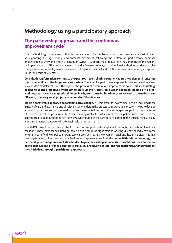## **Methodology using a participatory approach**

## **The partnership approach and the 'continuous improvement cycle'**

This methodology complements the recommendations for implementation (see previous chapter). It aims at supporting the age-friendly environments movement following the bottom-up participatory approach implemented by the World Health Organization (WHO). It supports the proposal from the Committee of the Regions on implementing an EU age-friendly network and a Covenant of mayors and regional authorities on demographic change involving several governance levels: local, regional, national and EU. The proposed methodology is applied to the long-term care sector.

**Consultation, information from and to the grass root levels, sharing experiences are a key element in ensuring the sustainability of the long-term care system.** The aim of a participatory approach is to involve all relevant stakeholders at different levels throughout the process of a 'continuous improvement cycle'. **This methodology applies to specific initiatives which aim to scale up their results on a wider geographical area or to other working areas. It can be adapted at different levels, from the neighbourhood/service level to the national and EU levels, from very small projects to national or EU-wide ones.**

**Why is a partnership approach important to drive change?** It is important to involve older people, including those in need of care and assistance, and all relevant stakeholders in the process to improve quality care. It helps to develop a bottom up process and can be used to gather the expectations from different target groups. In doing so, a sense of co-ownership of the process can be created among local actors which improves the policy process and helps the acceptance of public authorities' decisions by a wider public as they are better adapted to the citizens' needs. Finally, it ensures that new strategies will be sustainable in the long term.

The WeDO project partners tested the first steps of the participatory approach through the creation of 'national coalitions'. These national coalitions gathered a wide range of organisations working directly or indirectly in the long-term care field, e.g. policy makers, service providers, carers, workers in social and health services, informal care organisations, older people's organisations and representatives from the police**. With this methodology, the partnership encourages relevant stakeholders to join the existing national WeDO coalitions (see information at end of document) or if they do not exist, build similar networks at local and regional levels, and to implement their initiatives through a participatory approach.**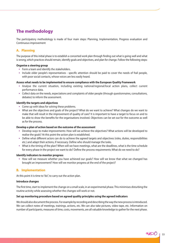## **The methodology**

The participatory methodology is made of four main steps: Planning, Implementation, Progress evaluation and Continuous improvement

#### **A. Planning**

The purpose of this initial phase is to establish a concerted work plan through finding out what is going well and what is wrong, which practices should remain, identify goals and objectives, and plan for change. Follow the following steps:

#### **Organise a steering group**

- Form a team and identify the stakeholders.
- Include older people's representatives specific attention should be paid to cover the needs of frail people, with poor social contacts, whose voices are less easily heard.

#### **Assess what needs to be implemented to ensure compliance with the European Quality Framework**

- • Analyse the current situation, including existing national/regional/local action plans, collect current performance data.
- Collect data on the needs, expectations and complaints of older people (through questionnaires, consultations, debates) to inform the assessment.

#### **Identify the targets and objectives**

- Come up with ideas for solving these problems.
- • What are the objectives and goals of the project? What do we want to achieve? What changes do we want to make that will result in the improvement of quality of care? It is important to have a target to focus on and to be able to show the benefits for the organisations involved. Objectives can be set out for the outcome as well as for the process.

#### **Develop a plan of action based on the outcome of the assessment**

- • Develop ways to make improvements: How will we achieve the objectives? What actions will be developed to realise the goals? At this point the action plan is established.
- • Define what different actors can do to achieve the agreed targets and objectives (roles, duties, responsibilities etc.) and adapt their actions, if necessary. Define who should manage the tasks.
- • What is the timing of the plan? When will we have meetings, what are the deadlines, what is the time schedule for every phase in the project we want to do? Define the process requirements: What do we need to do?

#### **Identify indicators to monitor progress**

• How will we measure whether you have achieved our goals? How will we know that what we changed has brought an improvement? How will we monitor progress at the end of the project?

#### **B. Implementation**

At this point it is time to "do", to carry out the action plan.

#### **Introduce changes**

The first time, start to implement the change on a small scale, in an experimental phase. This minimises disturbing the routine activity while assessing whether the changes will work or not.

#### **Set up monitoring procedure based on agreed quality principles using the agreed indicators**

We should also document the process. For example by recording and describing the way the new process is introduced. We can collect notes of meetings, trainings, actions, etc. We can also take pictures, video tape, etc. Information on number of participants, measures of time, costs, movements, are all valuable knowledge to gather for the next phase.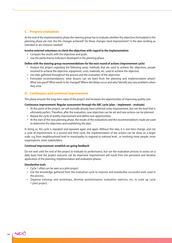#### **C. Progress evaluation**

At the end of the implementation phase the steering group has to evaluate whether the objectives formulated in the planning phase are met. Are the changes achieved? Do these changes need improvement? Is the plan working as intended or are revisions needed?

#### **Involve external volunteers to check the objectives with regard to the implementation**

- Compare the results with the objectives and goals.
- Use the performance indicators developed in the planning phase.

#### **Define with the steering group recommendations for the next round of actions (improvement cycle)**

- • Analyse the project regarding the following areas: methods that are used to achieve the objectives, people involved to achieve the objective, equipment, costs, materials, etc. used to achieve the objective.
- Use data gathered throughout the process and the evaluation of the objectives.
- Formulate recommendations: what lessons can we learn from the planning and implementation phase? What was good? What needs to be changed? Where did delays occur and why? Identify any new problems when they arise.

#### **D. Continuous and continual improvement**

This phase ensures the long-term value of the project and increases the opportunities of improving quality care.

#### **Continuous improvement: Regular assessment through the ABC cycle (plan – implement – evaluate)**

- • At this point of the project, we will normally already have achieved some improvement, but not the level that is ultimately perfect. Therefore, after the evaluation, new objectives can be set and new actions can be planned.
- Repeat the cycle of quality improvement and define new opportunities.
- • At the start of the next planning phase, the results of the evaluations and the recommendations made are used to determine the objectives and establishing the plan.

In doing so, the cycle is repeated and repeated again and again. Without this step, it is one-time change, and not a cycle of improvement. In a second and third cycle, the implementation of the actions can be done on a larger scale. e.g. from neighbourhood level to municipality to regional to national level , or involving more people, more organisations, more stakeholders.

#### **Continual improvement: establish on-going feedback**

Do not wait until the end of the project to evaluate its performance, but use the evaluation process to assess on a daily basis how the project outcome can be improved. Improvement will result from the persistent and iterative application of the planning, implementation and evaluation phases.

#### **Standardise tools**

- • Cycle 1 often can be seen as a pilot project.
- • Use the knowledge gathered from the evaluation cycle to improve and standardise successful tools used in the process ,
- • Organise trainings and workshops, develop questionnaires, evaluation matrices, etc. to scale up cycle 1 pilot project.

WEDO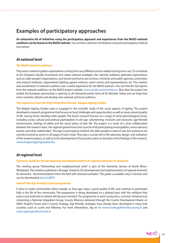## **Examples of participatory approaches**

**An exhaustive list of initiatives using the participatory approach and experiences from the WeDO national coalitions can be found on the WeDO website.** You can find a selection of initiatives using the participatory method here below:

#### *At national level*

#### **The WeDO national coalitions**

They were created to gather organisations coming from very different sectors related to long-term care. To contribute to the European Quality Framework and create national strategies, the national coalitions gathered organisations such as: older people's organisations, care homes and home care services, ministries and public agencies, universities and research institutes, organisations fighting against violence, carers' unions and representatives, etc. The creation and coordination of national coalitions was a useful experience for the WeDO partners. You can find the full reports from the national coalitions on the WeDO project website: www.wedo-partnership.eu. Now that the project has ended, the European partnership is opening to all interested parties from all EU Member States and we hope that more countries will join and develop new national and local coalitions.

#### **The experience from the Vrije Universiteit Brussel - Belgian Ageing Studies**

The Belgian Ageing Studies team is engaged in the scientific study of the social aspects of ageing. The project developed a research programme that focuses on local challenges and opportunities, as well as issues around quality of life, among home-dwelling older people. The team's research focuses on a range of social gerontological issues, including social, cultural and political participation in old age, volunteering, inclusion and exclusion, age-friendly environments, feelings of safety and the social policy of later life. The project is a result of a close collaboration between the research team, the regional government and councils of all participating municipalities, senior advisory boards, and other stakeholders. Through a participatory method, the older people in need of care and assistance are actively involved as actors in all stages of each study. They play a crucial role in the planning, design, and realisation of the research project, as well as in the development of local policy plans on the basis of the findings of the research. www.belgianageingstudies.be

### *At regional level*

#### **Germany: Guide for the development and implementation of regional networks on dementia**

The working group "Networking and neighbourhood work" is part of the Dementia Service of North Rhine-Westphalia. The initiative published a 46-page "Guide for the development and implementation of regional networks for dementia - Recommendations from the field with selected examples". The guide is available only in German and can be downloaded: bit.ly/L8iFFI.

#### **Ireland: The Age-friendly County programme**

It aims to create communities where people, as they age, enjoy a good quality of life, and continue to participate fully in the life of the community. The programme is being developed on a phased basis with the ambition that every Local Authority in Ireland will become involved. The programme in each county has a common infrastructure comprising a National Integration Group, County Alliances delivered through the County Development Board, an Older People's Forum and a County Strategy. Age-friendly strategies have already been developed in many Irish counties, such as Louth and Kilkenny. For more information, log on to www.louthagefriendlycounty.ie and www.ageingwellnetwork.ie

no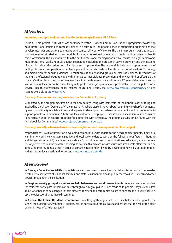### *At local level*

#### **Improving multi-professional and health care training in Europe (PRO TRAIN)**

The PRO TRAIN project (2007-2009) was co-financed by the European Commission Daphne II programme to develop multi-professional training to combat violence in health care. The prjoect aimed at supporting organisations that develop measures and actions to prevent or to combat all types of violence. The training program was designed as two programmes divided into basic modules for multi-professional training and specific modules aimed at health care professionals. The last module within the multi-professional training (module five) focuses on legal frameworks, multi-professional work and multi-agency cooperation including the process of service provision and the meaning of education about the seriousness of violence and its prevention. The last module includes an optimum-model of multi-professional co-operation for violence prevention, which made of five steps: 1) context analysis, 2) strategy and action plan for handling violence, 3) multi-professional working groups on cases of violence, 4) readiness of the multi-professional group to cope with intimate partner violence prevention and 5) what kind of effects do the strategy/action plan and responses to cases have in a multi-professional environment? The model requires a strong involvement of local authorities in building multi-professional groups made of representatives from the police, social services, health professionals, policy makers, educational sector, etc. www.pro-train.uni-osnabrueck.de and training available at bit.ly/SarPAM.

#### **Germany: Continuous Learning Workshop on Dementia in Arnsberg**

Supported by the programme, "People in the Community Living with Dementia" of the Robert Bosch Stiftung and inspired by the "Aktion Demenz e. V.", the mayor of Arnsberg started the Arnsberg "Learning workshop" on dementia by working with city officials, citizens and experts to develop a comprehensive community action programme to support people with dementia. All citizens, local authorities, employers, tradesmen and social services were invited to participate under the motto "Together for a better life with dementia". The project's results can be found with the "Handbook for Communities." www.projekt-demenz-arnsberg.de

#### **Germany: WohnQuartier4 (network on local neighbourhood development for older people)**

WohnQuartier4 is a pilot project on developing communities with regard to the needs of older people. It acts as a learning network involving administrative and local stakeholders to work on the following four factors 1) housing and living environment, 2) health, service and care, 3) participation and communication 4) education, art and culture. The objective is to link the available housing, social, health and care infrastructure into small-scale offers that can be integrated into residential areas in order to enhance independent living by developing new collaboration models with respect to local needs and resources. www.wohnquartier4.de

#### *At service level*

**In France, a Council of social life** (Conseil de la vie sociale) is set up in each residential institution and is composed of elected representatives of residents, families, and staff. Residents can also regularly meet to discuss meals and other services provided in the institution.

**In Belgium, weekly group discussions are held between carers and care recipients.** In a care centre in Flanders, the residents participate in their own care through weekly group discussions made of 15 people. They are consulted about what needs to be changed in their care, environment and care centre policy, to enhance their quality of life. A psychologist coordinates these discussions.

**In Austria, the Ethical Resident's conference** is a setting gathering all relevant stakeholders (older people, the family, the nursing staff, volunteers, doctors, etc.) to speak about ethical issues and ensure that the will of the older person in need of care is respected.

no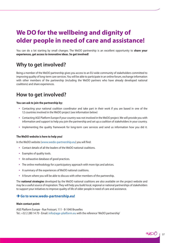## **We DO for the wellbeing and dignity of older people in need of care and assistance!**

You can do a lot starting by small changes. The WeDO partnership is an excellent opportunity to **share your experiences, get access to innovative ideas. So get involved!**

## **Why to get involved?**

Being a member of the WeDO partnership gives you access to an EU-wide community of stakeholders committed to improving quality of long-term care services. You will be able to participate in an online forum, exchange information with other members of the partnership (including the WeDO partners who have already developed national coalitions) and share experiences.

## **How to get involved?**

#### **You can ask to join the partnership by:**

- • Contacting your national coalition coordinator and take part in their work if you are based in one of the 12 countries involved in the WeDO project (see information below)
- • Contacting AGE Platform Europe if your country was not involved in the WeDO project. We will provide you with information and support to help you join the partnership and set up a coalition of stakeholders in your country.
- • Implementing the quality framework for long-term care services and send us information how you did it.

#### **The WeDO website is here to help you!**

In the WeDO website (www.wedo-partnership.eu) you will find:

- Contact details of all the leaders of the WeDO national coalitions.
- Examples of quality tools.
- An exhaustive database of good practices.
- The online methodology for a participatory approach with more tips and advices.
- • A summary of the experiences of WeDO national coalitions.
- A forum where you will be able to discuss with other members of the partnership.

The **national strategies** developed by the WeDO national coalitions are also available on the project website and may be a useful source of inspiration. They will help you build local, regional or national partnerships of stakeholders to support your initiatives to improve quality of life of older people in need of care and assistance.

#### Î**Go to www.wedo-partnership.eu!**

#### **Main contact point:**

AGE Platform Europe - Rue Froissart, 111 - B-1040 Bruxelles Tel.: +32 2 280 14 70 - Email: info@age-platform.eu with the reference 'WeDO partnership'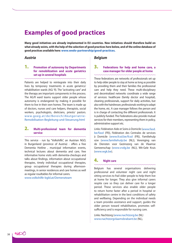## **Examples of good practices**

**Many good initiatives are already implemented in EU countries. New initiatives should therefore build on what already exists, with the help of the selection of good practices here below, and of the online database of good practices available here: www.wedo-partnership/good-practices.** 

#### *Austria*

#### 1. **Promotion of autonomy by Departments for remobilization and acute geriatrics set up in several hospitals**

Patients are helped to reintegrate into their daily lives by temporary treatments in acute geriatrics/ rehabilitation wards (AG/ R). The "activating care" and the therapy are important components in the process. The AG/R ward teams support older people whose autonomy is endangered by making it possible for them to live in their own homes. The team is made up of doctors, nurses and care helpers, therapists, social workers, psychologists, dieticians, priests/ pastors. www.goeg.at/de/Bereich/Akutgeriatrie-Remobilisation-Begleitung-und-Steuerung.html

#### 2. **Multi-professional team for dementia service**

This service - run by "Volkshilfe", an Austrian NGO, in Burgenland (province of Austria) - offers a free Dementia Hotline , municipal information events, technical lectures about dementia and care, free informative home visits with dementia-checkups and talks about findings, information about occupational therapies, timely individual occupational therapies, group occupational therapies during afternoonmeetings, in senior residences and care homes as well as regular roudtables for informal carers.

www.volkshilfe-bgld.at/Demenzteam

#### *Belgium*

#### 3. **Federations for help and home care, a case manager for older people at home**

These federations are networks of professionals set up to help older people to stay at home as long as possible by providing them and their families the professional care and help they need. These multi-disciplinary and decentralized networks coordinate a wide range of services: healthcare (family doctor and hospital), cleaning professionals, support for daily activities, but also with the hairdresser, professionals working to adapt the home, etc. A case manager follows the person and is in charge of contacting the different professionals. It is publicly funded. The Federations also provide mutual services for their members, representing them in policy, administrative support etc.

Links: Fédération Aide et Soins à Domicile (www.fasd. be/fasd (FR)), Fédération des Centrales de services à Domicile (www.fcsd.be/fcsd (FR)), Familiehulp vzw (www.familiehulp.be (NL)), Vereniging van de Diensten voor Gezinszorg van de Vlaamse Gemeenschap (www.vvdg.be (NL)), Wit-Gele Kruis (www.wgk.be).

#### 4. **Night care**

Belgium has several organisations delivering professional and volunteer night care and night sitting services to frail older people to help them live at home for longer. They also give informal carers respite care so they can deliver care for a longer period. These services also enable older people to return home faster after a period in hospital or rehabilitation centre in the best conditions of safety and wellbeing. Depending on the individual needs a team provides assistance and support, guides the older person toward rehabilitation, promotes selfsufficiency and is responsible for nursing care.

Links: Nachtzorg (www.nachtzorg.be (NL) www.nachtzorgvlaamsbrabant.be (NL),

no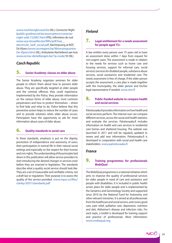www.nachtzorgbrussel.be (NL), Connector Night (public.guidesocial.be/associations/conectarnight-asbl.152087.html (FR)), Infirmières de nuit www.ucp-bruxelles.be/IMG/pdf/Gaz\_\_ electricite\_tarif\_social.pdf, Nachtopvang at WZC De Vijvers (www.ocmwgent.be/Woonzorgcentra-De-Vijvers.html (NL), Ambulante Nachtdienst aan huis www.ocmw-destelbergen.be/?q=node/98 (NL)

#### *Czech Republic*

### 5. **Senior Academy: classes on elder abuse**

The Senior Academy organizes seminars for older people to inform them about how to prevent elder abuse. They are specifically targeted at older people and the criminal offences they could experience. Implemented by the Police, they provide information on the various forms of elder abuse, most common perpetrators and how to protect themselves – where to find help and what to do. Police believe that this preventive action helps to reduce the number of cases and to provide solutions when elder abuse occurs. Participants have the opportunity to ask for more information about cases of elder abuse.

#### 6. **Quality standards in social care**

In these standards, emphasis is put on the dignity, promotion of independence and autonomy of users, their participation in normal life in their natural social settings and especially on the respect for their human and civic rights. The understanding of the principles laid down in this publication will allow service providers to start introducing the desired changes in services even before they are enacted in legislation. The standards describe what a quality social service should look like. They are a set of measurable and verifiable criteria, not a draft law or regulation. Their purpose is to assess the quality of the service provided. www.mpsv.cz/files/ clanky/2057/standards.pdf

#### *Finland*

#### 7. **Legal entitlement for a needs assessment for people aged 75+**

A law entitles every person over 75 years old to have an assessment done within 7 days from request for non-urgent cases. The assessment is made in relation to the needs for services such as home care and housing services, support for informal care, social services (services for disabled people, substance abuse services, social assistance) and residential care. The needs assessment is free of charge. If the older person accepts the assessment, a care plan is made together with the municipality, the older person and his/her legal representative if needed. www.stm.fi

#### 8. **Public-funded website to compare health and social services**

Palveluvaaka.fi provides information on how health and social services perform. The internet user can compare different services, access the social and health statistics and evaluate the services. Palveluvaaka.fi includes information on health and care services in residential care homes and sheltered housing. The website was launched in 2011 and will be regularly updated to renew and add new information. Palveluvaaka.fi is developed in cooperation with social and health care stakeholders. www.palveluvaaka.fi

#### *France*

#### 9. **Training programmes for professionals MobiQual**

The MobiQual programme is a national initiative which aims to improve the quality of professional services for older people in need of care and assistance and people with disabilities. It is included in public health action plans for older people and is implemented by the Geriatrics and Gerontology Society and supported since 2010 by the National Fund for Autonomy and other relevant ministries. It is aimed at all professionals from the healthcare and social sectors, and covers good care, pain relief, palliative care, depression, nutrition and diet, Alzheimer's disease and infection risks. For each topic, a toolkit is developed for training support and practice of professionals. More information: www.mobiqual.org

 $n_{b}\propto$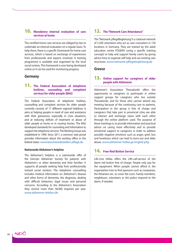#### 10. **Mandatory internal evaluation of care services at home**

The certified home care services are obliged by law to undertake an internal evaluation on a regular basis. To help them, there is a specific framework for home care services, which is based on exchange of experiences from professionals and experts involved. A training programme is available and organized by the local social centres. This framework is now being developed online so it can be used for monitoring progress.

#### *Germany*

#### 11. **The Federal Association of telephone hotlines, counseling and complaint services for older people (BAG)**

The Federal Association of telephone hotlines, counselling and complaint services for older people currently consists of 17 different regional helplines. It aims at helping people in need of care and assistance with their grievances, especially in crisis situations, and at reducing deficits of treatment or abuse of older people at home or in nursing homes. The BAG developed standards for counseling and information to support the telephone services. The Working Group was established in 1999. Since 2011 a common web portal provides information about the existing offers in the federal states. www.beschwerdestellen-pflege.de

#### **Nationwide Alzheimer's helpline**

The Alzheimer's helpline is a nationwide offer of the German Alzheimer Society for patients with Alzheimer's or other dementia and their families. It supports all people seeking help from professionally trained social workers. The telephone counselling includes medical information on Alzheimer's disease and other forms of dementia, the diagnosis, dealing with difficult behaviors, legal issues and personal concerns. According to the Alzheimer's Association they receive more than 58,000 inquiries per year. www.alzheimer-telefon.de

#### 12. **The "Network Care Attendance"**

The "Netzwerk pflegeBegleitung"is a national network of 2.500 volunteers who act as care counselors in 150 locations in Germany. They are trained by the adult education centre FOGERA (using a specific training concept) to help and support family carers by giving advice how to organize self-help and use existing care structures. www.netzwerk-pflegebegleitung.de

#### *Greece*

#### 13. **Online support for caregivers of older people with Alzheimer**

Alzheimer's Association Thessaloniki offers the opportunity to caregivers to participate in online support groups for caregivers who live outside Thessaloniki, and for those who cannot attend any meeting because of the continuing care to patients. Participation in the group is free of charge and caregivers that take part in provincial cities are able to interact and exchange views with each other through the online platform used. The purpose of these meetings is: to provide information and practical advice on caring more effectively and to provide emotional support to caregivers in order to address possible negative emotions such as anger, grief, loss and loneliness which can lead to burn-out and elder abuse. www.alzheimer-hellas.gr/english.php

#### 14. **Free-Red-Button Service**

Life-Line Hellas offers the 24h-call-service of the alarm red button free of charge. People only pay for the equipment. When people cannot afford it, the organization tries to find sponsors such as companies, the Rotarians etc. to cover the costs. Family members, neighbours, volunteers or the police respond to the alarm, if needed.

noO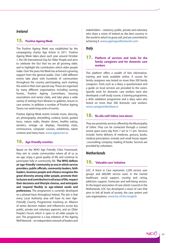#### *Ireland*

### 15. **Positive Ageing Week**

The Positive Ageing Week was established by the campaigning charity Age Action in 2011. Positive Ageing Week takes place each year around October 1, the UN International Day for Older People and aims to celebrate the fact that we are all growing older, and to highlight the contribution which older people make. Over the years the Week has achieved a growing support from the general public. Over 1,000 different events take place with hundreds of communities throughout the country participating, each marking the week in their own special way. These are organised by many different organisations including nursing homes, Positive Ageing Committees, housing associations and senior clubs, and take place a wide variety of settings from libraries to galleries, leisure to care centres. In addition a number of Positive Ageing Towns run week-long series of events.

Positive Ageing Week events include music, dancing, art, photography, storytelling, cookery, bowls, guided tours, nature walks, theatre shows, healthy eating, aerobics, vintage car displays, friendship clubs, reminiscence, computer courses, exhibitions, talent contests and many more. www.ageaction.ie

### 16. **Age-friendly counties**

Based on the WHO Age Friendly Cities Framework, they aim to create communities where all of us as we age, enjoy a good quality of life and continue to participate fully in community life. **The WHO defines an 'age-friendly' community as one in which service providers, public officials, community leaders, faith leaders, business people and citizens recognise the great diversity among older people, promote their inclusion and contribution in all areas of life, respect their decisions and lifestyle choices, and anticipate and respond flexibly to age-related needs and preferences.** The programme is currently developed on a phased basis throughout Ireland. The aim is that every Local Authority area will have its own *Age-Friendly County Programme* involving an Alliance of senior decision makers and influencers across key public, private and voluntary agencies, and an Older People's Forum which is open to all older people to join. The programme is a key initiative of the Ageing Well Network – an independent network of leaders and

stakeholders – statutory, public, private and voluntary who share a vision of Ireland *as the best country in the world in which to grow old*, and are committed to achieving it. www.ageingwellnetwork.com

#### *Italy*

#### 17. **Platform of services and tools for the family caregivers and for domestic care workers**

This platform offers a wealth of free information, training and tools available online. A course for family caregivers was tested on more than 200 family caregivers. Tools such as a diary, a questionnaire and a guide on local services are provided to the carers. Specific tools for domestic care workers were also developed: a self-study course, a training programme, a skills validation programme and a diary were also tested on more than 300 domestic care workers. www.caregiverfamiliare.it

#### 18. **No alla solit'Udine (not alone)**

They are proximity services offered by the Municipality of Udine. They can be contacted through a contact centre open every day from 7 am to 11 pm. Services include: home delivery of medicine, grocery, books, medical prescription; errands and small house repairs ; counselling; company; reading of books. Services are provided by volunteers.

### *Netherlands*

#### 19. **'Valuable care' initiative**

LOC, A Voice in Care represents 2,200 service user groups and 600,000 service users in the mental healthcare, social support, nursing and caring, addiction support, homecare and well-being sectors. As the largest association of care clients' councils in the Netherlands, LOC has developed a vision of care that aims to link all levels of society, the care system and care organisations. www.loc.nl/loc/english

nbO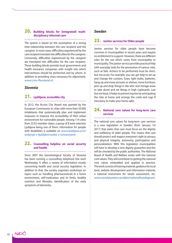#### 20. **Building blocks for (integrated) multidisciplinary informal care**

The system is based on the assumption of a strong inter-relationship between the care recipient and the caregiver. In most cases, difficulties experienced by the care recipient translate into difficulties for the caregiver. Conversely, difficulties experienced by the caregiver are translated into difficulties for the care recipient. These building blocks provide local governments and health insurance companies with insight into which interventions should be performed and by whom, in addition to providing clues necessary for adjustment. www.cmo-flevoland.nl

#### *Slovenia*

#### 21. **Ljubljana: accessible city**

In 2012, the Access City Award was granted by the European Commission to cities with more than 50.000 inhabitants that systematically plan and implement measures to improve the accessibility of their urban environment for vulnerable people. Among 114 cities from 23 EU member states, a group of 8 were selected, Ljubljana being one of them. Information for people with disabilities is available on www.ljubljana.si/si/ zivljenje-v-ljubljani/osebe-z-oviranostmi.

#### 22. **Counselling helpline on social security and health**

Since 2007 the Gerontological Society of Slovenia has been running a counselling telephone line each Wednesday. It offers a variety of information mostly concerning health and social security legislation. In addition to that, the society organizes workshops on topics such as: handling pharmaceuticals in a home environment, self-medication and its limits, healthy nutrition and lifestyles, identification of the early symptoms of dementia.

#### *Sweden*

#### 23. **Janitor services for Older people**

Janitor services for older people have become common in municipalities in recent years and require no entitlement to support. However, there are different rules for the use which varies from municipality to municipality. The janitor service provides practical help with everyday tasks for the prevention of various risks, such as falls. Actions to be performed must be short, but not acute. For example, you can get help to set up and change the curtains, fuses, light bulbs, batteries, hang up and move pictures or shelves, move furniture, pick up and drop things in the attic and storage areas or take down and set things in high cupboards. Last but not least, it helps to prevent injuries by anticipating the risks at home and arrange the cords and rugs if necessary to make your home safer.

#### 24. **National core values for long-term care services**

The national core values for long-term care services is a new legislation in Sweden (from January 1st 2011) that states that care must focus on the dignity and wellbeing of older people. This means that care should protect and respect everyone's right to privacy and physical integrity, autonomy, participation and personalization. With this legislation municipalities will have to develop a new dignity guarantee and this will be checked by the public authorities. The National Board of Health and Welfare works with the national core values. They will contribute to getting the national core values embedded and applied in practice. The work consists of training material, guidance for local level, website development and information material, a national instrument for needs assessment, etc. www.socialstyrelsen.se/aldre/nationellvardegrund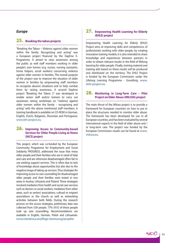#### *Europe*

#### 25. **Breaking the taboo projects**

"Breaking the Taboo – Violence against older women within the family: Recognizing and acting" was a European project financed by the Daphne II-Programme. It aimed to raise awareness among the public as well staff members working in older people's own homes (e.g. nurses, nursing assistants, home helpers, social workers) concerning violence against older women in families. The overall purpose of the project was to improve the situation of older women in families by empowering staff members to recognize abusive situations and to help combat them by raising awareness. A second Daphne project "Breaking the Taboo 2" was developed to enable senior staff and/or trainers to carry out awareness raising workshops on "violence against older women within the family – recognizing and acting" with the above mentioned staff members. A training handbook is available on CD-ROM in German, English, Dutch, Bulgarian, Slovenian and Portuguese. www.btt-project.eu

#### 26. **Improving Access to Community-based Services for Older People Living at Home (IACS) project**

This project, which was co-funded by the European Community Programme for Employment and Social Solidarity PROGRESS, addressed the issue that many older people and their families who are in need of help and care and are otherwise disadvantaged often fail to use existing support services. This is often due to lack of knowledge about opportunities but also due to the negative image of taking up services. Thus strategies for improving access to care counselling for disadvantaged older people and their families were tested in two areas in Austria, Lithuania and Poland. These strategies involved mediators from health and social care services such as doctors or social workers, mediators from other areas, such as seniors' associations, cultural or migrant associations or the church as well as networking activities between both fields. During the research process on the access strategies, preliminary data was collected from 539 people, 77% (415) of these people took up care counselling. Recommendations are available in English, German, Polish and Lithuanian. www.roteskreuz.at/pflege-betreuung/projekte

#### 27. **Empowering Health Learning for Elderly (EHLE) project**

Empowering Health Learning for Elderly (EHLE) Project aims at improving skills and competences of professionals working with older people, by creating innovative training models; it is also intended to share knowledge and experiences between partners in order to obtain relevant results in the field of lifelong learning for older people. Finally, training material and training aids based on these results will be produced and distributed on the territory. The EHLE Project is funded by the European Commission under the Lifelong Learning Programme - Grundtvig. www. ehle-project.eu

#### 28. **Monitoring in Long-Term Care – Pilot Project on Elder Abuse (MILCEA) project**

The main thrust of the Milcea project is to provide a framework for European countries on how to put in place the structures needed to monitor elder abuse. The framework has been developed for use in all European countries, and has been evaluated by several international experts in the field of elder abuse and / or long-term care. The project was funded by the European Commission results can be found at www. milcea.eu.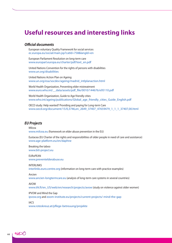## **Useful resources and interesting links**

#### *Official documents*

European voluntary Quality Framework for social services ec.europa.eu/social/main.jsp?catId=758&langId=en

European Parliament Resolution on long-term care www.europarl.europa.eu/charter/pdf/text\_en.pdf

United Nations Convention for the rights of persons with disabilities www.un.org/disabilities

United Nations Action Plan on Ageing www.un.org/esa/socdev/ageing/madrid\_intlplanaction.html

World Health Organization, Preventing elder mistreatment www.euro.who.int/\_\_data/assets/pdf\_file/0010/144676/e95110.pdf

World Health Organization, Guide to Age friendly cities www.who.int/ageing/publications/Global\_age\_friendly\_cities\_Guide\_English.pdf

OECD study: Help wanted? Providing and paying for Long-term Care www.oecd.org/document/15/0,3746,en\_2649\_37407\_47659479\_1\_1\_1\_37407,00.html

#### *EU Projects*

Milcea www.milcea.eu (framework on elder abuse prevention in the EU)

Eustacea (EU Charter of the rights and responsibilities of older people in need of care and assistance) www.age-platform.eu/en/daphne

Breaking the taboo www.btt-project.eu

EURoPEAN www.preventelderabuse.eu

INTERLINKS

interlinks.euro.centre.org (information on long-term care with practice examples)

#### Ancien

www.ancien-longtermcare.eu (analysis of long-term care systems in several countries)

#### AVOW

www.thl.fi/en\_US/web/en/research/projects/avow (study on violence against older women)

#### IPVOW and Mind the Gap

ipvow.org and zoom-institute.eu/projects/current-projects/-mind-the-gap

#### IACS

www.roteskreuz.at/pflege-betreuung/projekte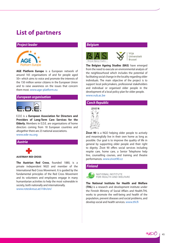## **List of partners**

#### *Project leader*



**AGE Platform Europe** is a European network of around 165 organisations of and for people aged 50+ which aims to voice and promote the interests of the 150 million senior citizens in the European Union and to raise awareness on the issues that concern them most. www.age-platform.eu

#### *European organisation*



E.D.E is a **European Association for Directors and Providers of Long-Term Care Services for the Elderly.** Members in E.D.E. are organisations of home directors coming from 18 European countries and altogether there are 23 national associations. www.ede-eu.org

#### *Austria*



**AUSTRIAN RED CROSS** 

**The Austrian Red Cross**, founded 1880, is a private independent NGO and member of the International Red Cross Movement. It is guided by the fundamental principles of the Red Cross Movement and its volunteers and employees engage in many humanitarian activities to help the most vulnerable in society, both nationally and internationally. www.roteskreuz.at/i18n/en/

#### *Belgium*



Vrije Universiteit **Rrussel** 

**The Belgian Ageing Studies (BAS)** have emerged from the need to execute an environmental analysis of the neighbourhood which includes the potential of facilitating social change in the locality regarding older individuals. The main objective of the project is to support local policymakers, professional stakeholders and individual or organised older people in the development of a local policy plan for older people. www.vub.ac.be

## *Czech Republic*



**Život 90** is a NGO helping older people to actively and meaningfully live in their own home as long as possible. Our goal is to improve the quality of life in general by supporting older people and their right to dignity. Život 90 offers social services including respite care, home care, a Senior Telephone help line, counselling courses, and training and theatre performances. www.zivot90.cz

#### *Finland*



NATIONAL INSTITUTE FOR HEALTH AND WELFARE

**The National Institute for Health and Welfare (THL)** is a research and development institute under the Finnish Ministry of Social Affairs and Health.THL works to promote the well-being and health of the population, prevent diseases and social problems, and develop social and health services. www.thl.fi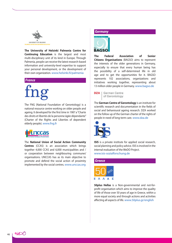

**The University of Helsinki Palmenia Centre for Continuing Education** is the largest and most multi-disciplinary unit of its kind in Europe. Through Palmenia, people can receive the latest research-based information and university-level expertise to support your personal development, or the development of their own organization. www.helsinki.fi/palmenia

#### *France*

The FNG (National Foundation of Gerontology) is a national resource centre working on older people and ageing. It developed for the first time in 1987 a "Charte des droits et libertés de la personne âgée dépendante" (Charter of the Rights and Liberties of dependent elderly people). www.fng.fr



The **National Union of Social Action Community Centres** (CCAS) is an association which brings together 4,000 CCAS and 6,000 municipalities and / or cooperation between neighbouring communes' organisations. UNCCAS has as its main objective to promote and defend the social action of proximity implemented by the social centres. www.unccas.org

#### *Germany*



**The Federal Association of Senior Citizens Organisations** (BAGSO) aims to represent the interests of the older generations in Germany, especially to ensure that every human being has the possibility of a self-determined life in old age and to get the opportunities for it. BAGSO represents 102 associations, organizations and initiatives working together, representing about 13 million older people in Germany. www.bagso.de

**DZA** German Centre of Gerontology

The **German Centre of Gerontology** is an institute for scientific research and documentation in the fields of social and behavioural ageing research. DZA worked on the follow up of the German charter of the rights of people in need of long-term care. www.dza.de



**ISIS** is a private institute for applied social research, social planning and policy advice. ISIS is involved in the internal evaluation of the WeDO Project. www.isis-sozialforschung.de

#### *Greece*



**50plus Hellas** is a Non-governmental and not-forprofit organisation which aims to improve the quality of life of those over 50 years of age in Greece, within a more equal society and through actions and activities affecting all aspects of life. www.50plus.gr/english

nos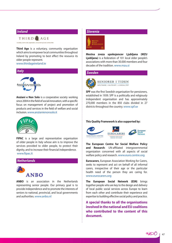

**Third Age** is a voluntary, community organisation which aims to empower local communities throughout Ireland by promoting to best effect the resource its older people represent.

#### www.thirdageireland.ie



**Anziani e Non Solo** is a cooperative society working since 2004 in the field of social innovation, with a specific focus on management of project and promotion of products and services in the field of welfare and social inclusion. www.anzianienonsolo.it



**FIPAC** is a large and representative organisation of older people in Italy whose aim is to improve the services provided to older people, to protect their dignity, and to increase their financial independence. www.fipac.it



**ANBO** is an association in the Netherlands representing senior people. Our primary goal is to provide independence and to promote the interests of seniors to national, provincial, and local governments and authorities. www.anbo.nl

#### *Slovenia*



**Mestna zveza upokojencev Ljubljana (MZU Ljubljana)** is a federation of 101 local older people's associations with more than 30.000 members and four decades of the tradition. www.mzu.si

#### *Sweden*



**SENIORER I TIDEN** INFLYTANDE . VALFRIHET . LIVSKVALITET

**SPF** was the first Swedish organisation for pensioners, established in 1939. SPF is a politically and religiously independent organisation and has approximately 270,000 members in the 850 clubs divided in 27 districts throughout the country. www.spf.se

#### **This Quality Framework is also supported by:**



**The European Centre for Social Welfare Policy and Research**: UN-affiliated intergovernmental organization concerned with all aspects of social welfare policy and research. www.euro.centre.org

**Eurocarers**, European Association Working for Carers, seeks to represent and act on behalf of all informal carers, irrespective of their age or the particular health need of the person they are caring for. www.eurocarers.org

**The European Social Network (ESN)** brings together people who are key to the design and delivery of local public social services across Europe to learn from each other and contribute their experience and expertise to building effective social policy and practice.

**A special thanks to all the organisations involved in the national and EU coalitions who contributed to the content of this document.**